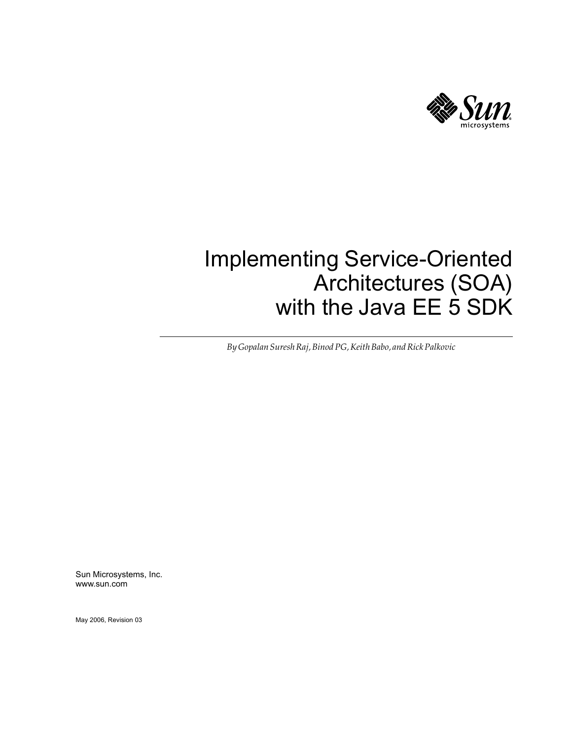

# Implementing Service-Oriented Architectures (SOA) with the Java EE 5 SDK

*By Gopalan Suresh Raj, Binod PG, Keith Babo, and Rick Palkovic*

Sun Microsystems, Inc. www.sun.com

May 2006, Revision 03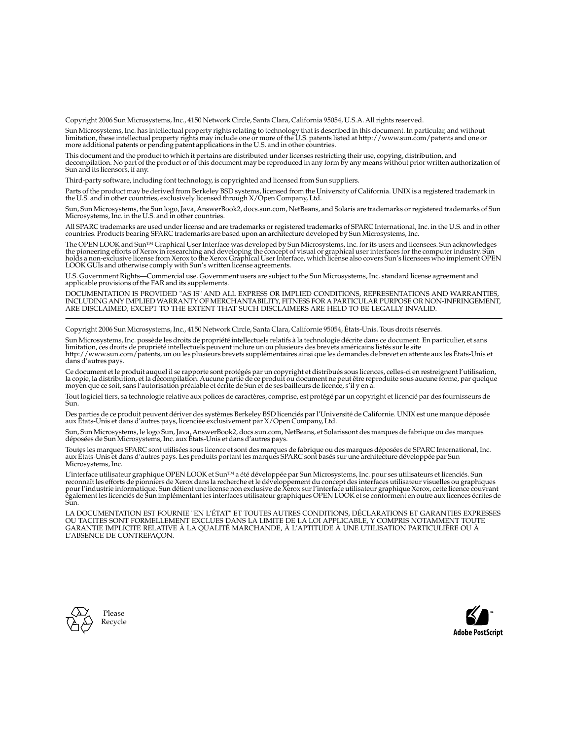Copyright 2006 Sun Microsystems, Inc., 4150 Network Circle, Santa Clara, California 95054, U.S.A. All rights reserved.

Sun Microsystems, Inc. has intellectual property rights relating to technology that is described in this document. In particular, and without limitation, these intellectual property rights may include one or more of the U.S. patents listed at http://www.sun.com/patents and one or more additional patents or pending patent applications in the U.S. and in other countries.

This document and the product to which it pertains are distributed under licenses restricting their use, copying, distribution, and decompilation. No part of the product or of this document may be reproduced in any form by any means without prior written authorization of Sun and its licensors, if any.

Third-party software, including font technology, is copyrighted and licensed from Sun suppliers.

Parts of the product may be derived from Berkeley BSD systems, licensed from the University of California. UNIX is a registered trademark in the U.S. and in other countries, exclusively licensed through X/Open Company, Ltd.

Sun, Sun Microsystems, the Sun logo, Java, AnswerBook2, docs.sun.com, NetBeans, and Solaris are trademarks or registered trademarks of Sun Microsystems, Inc. in the U.S. and in other countries.

All SPARC trademarks are used under license and are trademarks or registered trademarks of SPARC International, Inc. in the U.S. and in other countries. Products bearing SPARC trademarks are based upon an architecture developed by Sun Microsystems, Inc.

The OPEN LOOK and Sun™ Graphical User Interface was developed by Sun Microsystems, Inc. for its users and licensees. Sun acknowledges<br>the pioneering efforts of Xerox in researching and developing the concept of visual or

U.S. Government Rights—Commercial use. Government users are subject to the Sun Microsystems, Inc. standard license agreement and applicable provisions of the FAR and its supplements.

DOCUMENTATION IS PROVIDED "AS IS" AND ALL EXPRESS OR IMPLIED CONDITIONS, REPRESENTATIONS AND WARRANTIES, INCLUDING ANY IMPLIED WARRANTY OF MERCHANTABILITY, FITNESS FOR A PARTICULAR PURPOSE OR NON-INFRINGEMENT, ARE DISCLAIMED, EXCEPT TO THE EXTENT THAT SUCH DISCLAIMERS ARE HELD TO BE LEGALLY INVALID.

Copyright 2006 Sun Microsystems, Inc., 4150 Network Circle, Santa Clara, Californie 95054, États-Unis. Tous droits réservés.

Sun Microsystems, Inc. possède les droits de propriété intellectuels relatifs à la technologie décrite dans ce document. En particulier, et sans limitation, ces droits de propriété intellectuels peuvent inclure un ou plusieurs des brevets américains listés sur le site http://www.sun.com/patents, un ou les plusieurs brevets supplémentaires ainsi que les demandes de brevet en attente aux les États-Unis et dans d'autres pays.

Ce document et le produit auquel il se rapporte sont protégés par un copyright et distribués sous licences, celles-ci en restreignent l'utilisation, la copie, la distribution, et la décompilation. Aucune partie de ce produ

Tout logiciel tiers, sa technologie relative aux polices de caractères, comprise, est protégé par un copyright et licencié par des fournisseurs de Sun.

Des parties de ce produit peuvent dériver des systèmes Berkeley BSD licenciés par l'Université de Californie. UNIX est une marque déposée aux États-Unis et dans d'autres pays, licenciée exclusivement par X/Open Company, Ltd.

Sun, Sun Microsystems, le logo Sun, Java, AnswerBook2, docs.sun.com, NetBeans, et Solarissont des marques de fabrique ou des marques déposées de Sun Microsystems, Inc. aux États-Unis et dans d'autres pays.

Toutes les marques SPARC sont utilisées sous licence et sont des marques de fabrique ou des marques déposées de SPARC International, Inc.<br>aux États-Unis et dans d'autres pays. Les produits portant les marques SPARC sont ba Microsystems, Inc.

L'interface utilisateur graphique OPEN LOOK et Sun™ a été développée par Sun Microsystems, Inc. pour ses utilisateurs et licenciés. Sun reconnaît les efforts de pionniers de Xerox dans la recherche et le développement du pour l'industrie informatique. Sun détient une license non exclusive de Xerox sur l'interface utilisateur graphique Xerox, cette licence couvrant également les licenciés de Sun implémentant les interfaces utilisateur graphiques OPEN LOOK et se conforment en outre aux licences écrites de Sun.

LA DOCUMENTATION EST FOURNIE "EN L'ÉTAT" ET TOUTES AUTRES CONDITIONS, DÉCLARATIONS ET GARANTIES EXPRESSES OU TACITES SONT FORMELLEMENT EXCLUES DANS LA LIMITE DE LA LOI APPLICABLE, Y COMPRIS NOTAMMENT TOUTE GARANTIE IMPLICITE RELATIVE À LA QUALITÉ MARCHANDE, À L'APTITUDE À UNE UTILISATION PARTICULIÈRE OU À L'ABSENCE DE CONTREFAÇON.



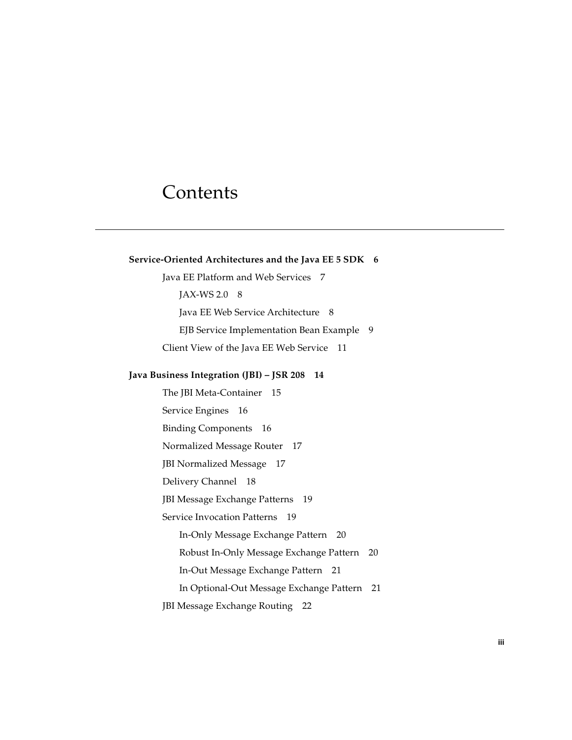## Contents

#### **[Service-Oriented Architectures and the Java EE 5 SDK](#page-5-0) 6**

[Java EE Platform and Web Services](#page-6-0) 7

[JAX-WS 2.0](#page-7-0) 8

[Java EE Web Service Architecture](#page-7-1) 8

[EJB Service Implementation Bean Example 9](#page-8-0)

[Client View of the Java EE Web Service](#page-10-0) 11

#### **[Java Business Integration \(JBI\) – JSR 208 1](#page-13-0)4**

[The JBI Meta-Container 1](#page-14-0)5 [Service Engines](#page-15-0) 16 [Binding Components](#page-15-1) 16 [Normalized Message Router](#page-16-0) 17 [JBI Normalized Message](#page-16-1) 17 [Delivery Channel 1](#page-17-0)8 [JBI Message Exchange Patterns](#page-18-0) 19 [Service Invocation Patterns](#page-18-1) 19 [In-Only Message Exchange Pattern](#page-19-0) 20 [Robust In-Only Message Exchange Pattern 2](#page-19-1)0 [In-Out Message Exchange Pattern](#page-20-0) 21 [In Optional-Out Message Exchange Pattern 2](#page-20-1)1 [JBI Message Exchange Routing 2](#page-21-0)2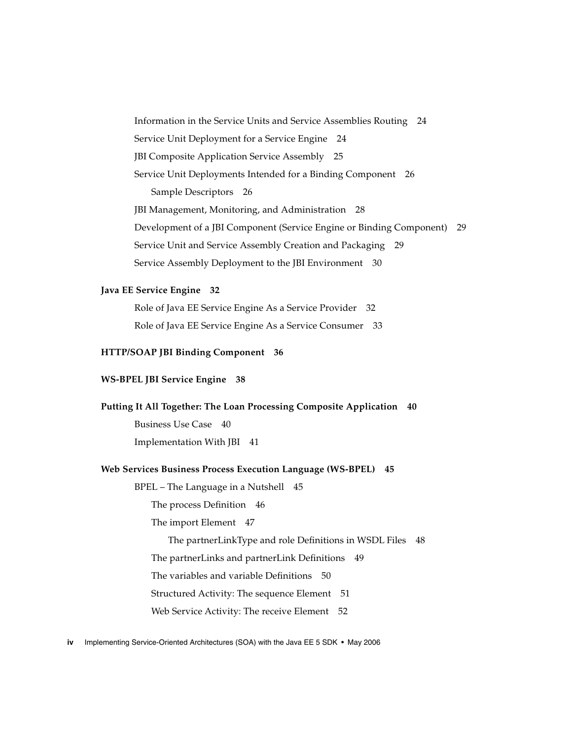[Information in the Service Units and Service Assemblies Routing 2](#page-23-0)4 [Service Unit Deployment for a Service Engine 2](#page-23-1)4 [JBI Composite Application Service Assembly](#page-24-0) 25 [Service Unit Deployments Intended for a Binding Component 2](#page-25-0)6 [Sample Descriptors](#page-25-1) 26 [JBI Management, Monitoring, and Administration 2](#page-27-0)8 [Development of a JBI Component \(Service Engine or Binding Component\)](#page-28-0) 29 [Service Unit and Service Assembly Creation and Packaging](#page-28-1) 29 [Service Assembly Deployment to the JBI Environment 3](#page-29-0)0

#### **[Java EE Service Engine](#page-31-0) 32**

[Role of Java EE Service Engine As a Service Provider](#page-31-1) 32 [Role of Java EE Service Engine As a Service Consumer](#page-32-0) 33

#### **[HTTP/SOAP JBI Binding Component](#page-35-0) 36**

#### **[WS-BPEL JBI Service Engine 3](#page-37-0)8**

#### **[Putting It All Together: The Loan Processing Composite Application](#page-39-0) 40**

[Business Use Case](#page-39-1) 40 [Implementation With JBI](#page-40-0) 41

#### **[Web Services Business Process Execution Language \(WS-BPEL\) 4](#page-44-0)5**

[BPEL – The Language in a Nutshell](#page-44-1) 45

[The process Definition 4](#page-45-0)6

[The import Element 4](#page-46-0)7

[The partnerLinkType and role Definitions in WSDL Files](#page-47-0) 48 [The partnerLinks and partnerLink Definitions 4](#page-48-0)9 [The variables and variable Definitions](#page-49-0) 50 [Structured Activity: The sequence Element 5](#page-50-0)1 [Web Service Activity: The receive Element](#page-51-0) 52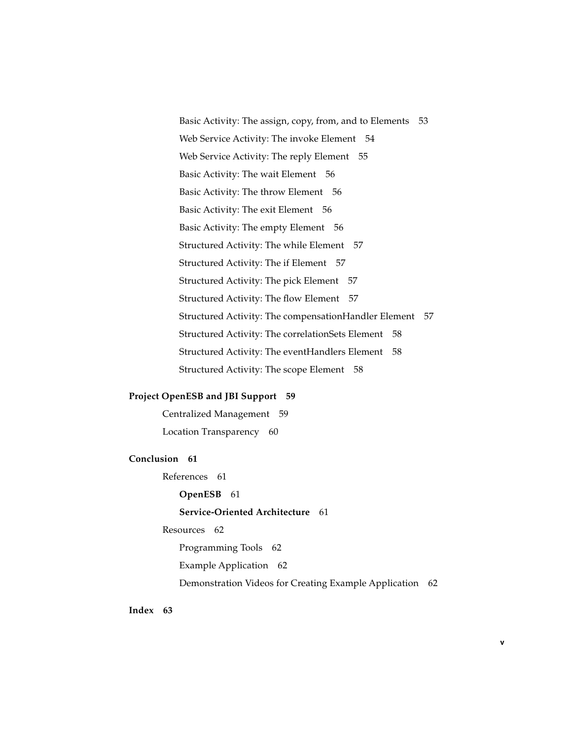[Basic Activity: The assign, copy, from, and to Elements](#page-52-0) 53 [Web Service Activity: The invoke Element](#page-53-0) 54 [Web Service Activity: The reply Element 5](#page-54-0)5 [Basic Activity: The wait Element 5](#page-55-0)6 [Basic Activity: The throw Element 5](#page-55-1)6 [Basic Activity: The exit Element](#page-55-2) 56 [Basic Activity: The empty Element 5](#page-55-3)6 [Structured Activity: The while Element 5](#page-56-0)7 [Structured Activity: The if Element 5](#page-56-1)7 [Structured Activity: The pick Element 5](#page-56-2)7 [Structured Activity: The flow Element](#page-56-3) 57 [Structured Activity: The compensationHandler Element](#page-56-4) 57 [Structured Activity: The correlationSets Element](#page-57-0) 58 [Structured Activity: The eventHandlers Element](#page-57-1) 58 [Structured Activity: The scope Element 5](#page-57-2)8

#### **[Project OpenESB and JBI Support](#page-58-0) 59**

[Centralized Management 5](#page-58-1)9 [Location Transparency 6](#page-59-0)0

#### **[Conclusion](#page-60-0) 61**

[References 6](#page-60-1)1

**[OpenESB](#page-60-2)** 61

#### **[Service-Oriented Architecture](#page-60-3)** 61

#### [Resources 6](#page-61-0)2

[Programming Tools](#page-61-1) 62

[Example Application](#page-61-2) 62

[Demonstration Videos for Creating Example Application](#page-61-3) 62

#### **[Index 6](#page-62-0)3**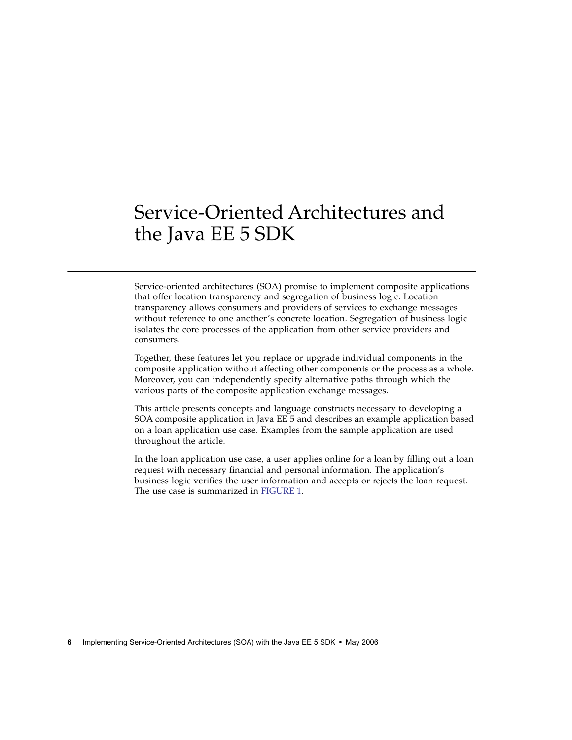# <span id="page-5-0"></span>Service-Oriented Architectures and the Java EE 5 SDK

<span id="page-5-1"></span>Service-oriented architectures (SOA) promise to implement composite applications that offer location transparency and segregation of business logic. Location transparency allows consumers and providers of services to exchange messages without reference to one another's concrete location. Segregation of business logic isolates the core processes of the application from other service providers and consumers.

Together, these features let you replace or upgrade individual components in the composite application without affecting other components or the process as a whole. Moreover, you can independently specify alternative paths through which the various parts of the composite application exchange messages.

This article presents concepts and language constructs necessary to developing a SOA composite application in Java EE 5 and describes an example application based on a loan application use case. Examples from the sample application are used throughout the article.

In the loan application use case, a user applies online for a loan by filling out a loan request with necessary financial and personal information. The application's business logic verifies the user information and accepts or rejects the loan request. The use case is summarized in [FIGURE 1.](#page-6-1)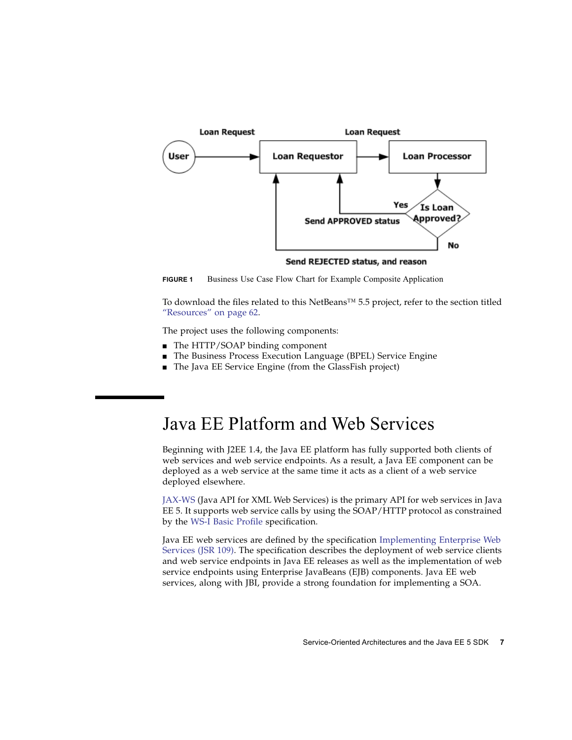

<span id="page-6-1"></span>

To download the files related to this NetBeans™ 5.5 project, refer to the section titled ["Resources" on page 62](#page-61-4).

The project uses the following components:

- The HTTP/SOAP binding component
- The Business Process Execution Language (BPEL) Service Engine
- The Java EE Service Engine (from the GlassFish project)

## <span id="page-6-0"></span>Java EE Platform and Web Services

<span id="page-6-3"></span>Beginning with J2EE 1.4, the Java EE platform has fully supported both clients of web services and web service endpoints. As a result, a Java EE component can be deployed as a web service at the same time it acts as a client of a web service deployed elsewhere.

<span id="page-6-2"></span>[JAX-WS](https://jax-ws.dev.java.net/) (Java API for XML Web Services) is the primary API for web services in Java EE 5. It supports web service calls by using the SOAP/HTTP protocol as constrained by the [WS-I Basic Profile](http://www.ws-i.org/Profiles/BasicProfile-1.0-2004-04-16.html) specification.

<span id="page-6-4"></span>Java EE web services are defined by the specification [Implementing Enterprise Web](http://www.jcp.org/aboutJava/communityprocess/final/jsr109/)  [Services \(JSR 109\)](http://www.jcp.org/aboutJava/communityprocess/final/jsr109/). The specification describes the deployment of web service clients and web service endpoints in Java EE releases as well as the implementation of web service endpoints using Enterprise JavaBeans (EJB) components. Java EE web services, along with JBI, provide a strong foundation for implementing a SOA.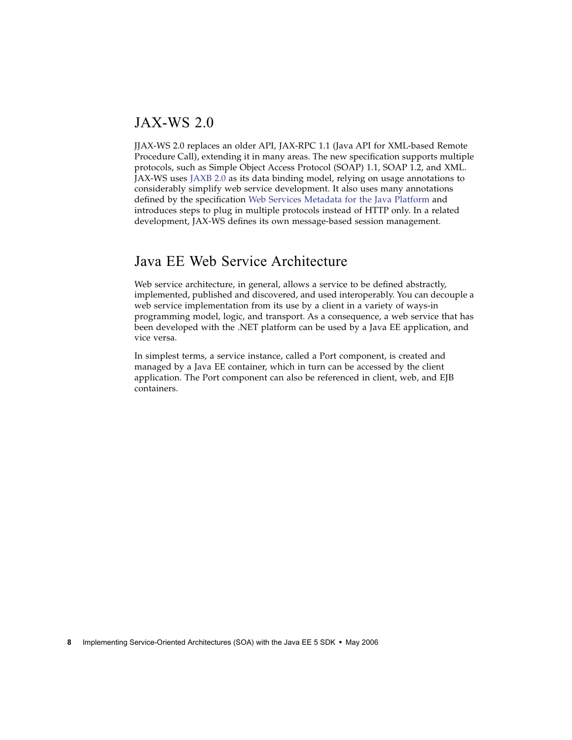### <span id="page-7-0"></span> $JAX-WS 2.0$

<span id="page-7-2"></span>JJAX-WS 2.0 replaces an older API, JAX-RPC 1.1 (Java API for XML-based Remote Procedure Call), extending it in many areas. The new specification supports multiple protocols, such as Simple Object Access Protocol (SOAP) 1.1, SOAP 1.2, and XML. JAX-WS uses [JAXB 2.0](http://java.sun.com/webservices/jaxb/) as its data binding model, relying on usage annotations to considerably simplify web service development. It also uses many annotations defined by the specification [Web Services Metadata for the Java Platform](http://www.jcp.org/aboutJava/communityprocess/pfd/jsr181/index.html) and introduces steps to plug in multiple protocols instead of HTTP only. In a related development, JAX-WS defines its own message-based session management.

### <span id="page-7-1"></span>Java EE Web Service Architecture

<span id="page-7-3"></span>Web service architecture, in general, allows a service to be defined abstractly, implemented, published and discovered, and used interoperably. You can decouple a web service implementation from its use by a client in a variety of ways-in programming model, logic, and transport. As a consequence, a web service that has been developed with the .NET platform can be used by a Java EE application, and vice versa.

In simplest terms, a service instance, called a Port component, is created and managed by a Java EE container, which in turn can be accessed by the client application. The Port component can also be referenced in client, web, and EJB containers.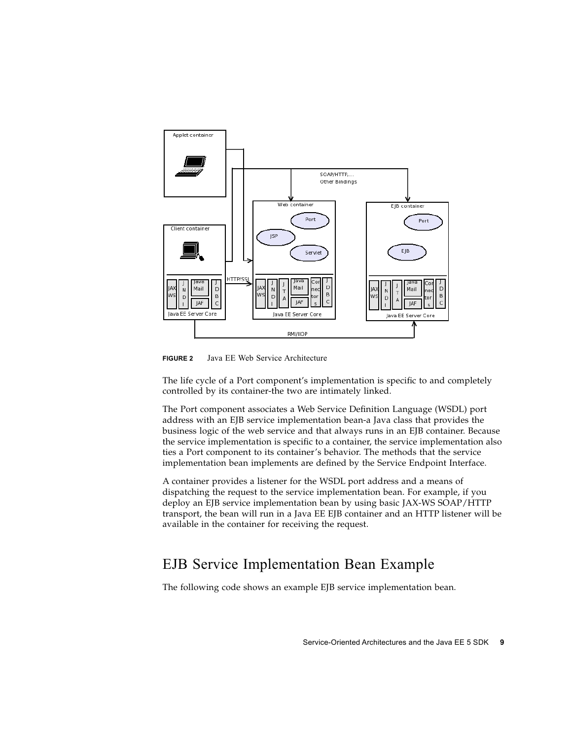

**FIGURE 2** Java EE Web Service Architecture

The life cycle of a Port component's implementation is specific to and completely controlled by its container-the two are intimately linked.

<span id="page-8-2"></span>The Port component associates a Web Service Definition Language (WSDL) port address with an EJB service implementation bean-a Java class that provides the business logic of the web service and that always runs in an EJB container. Because the service implementation is specific to a container, the service implementation also ties a Port component to its container's behavior. The methods that the service implementation bean implements are defined by the Service Endpoint Interface.

A container provides a listener for the WSDL port address and a means of dispatching the request to the service implementation bean. For example, if you deploy an EJB service implementation bean by using basic JAX-WS SOAP/HTTP transport, the bean will run in a Java EE EJB container and an HTTP listener will be available in the container for receiving the request.

### <span id="page-8-0"></span>EJB Service Implementation Bean Example

<span id="page-8-1"></span>The following code shows an example EJB service implementation bean.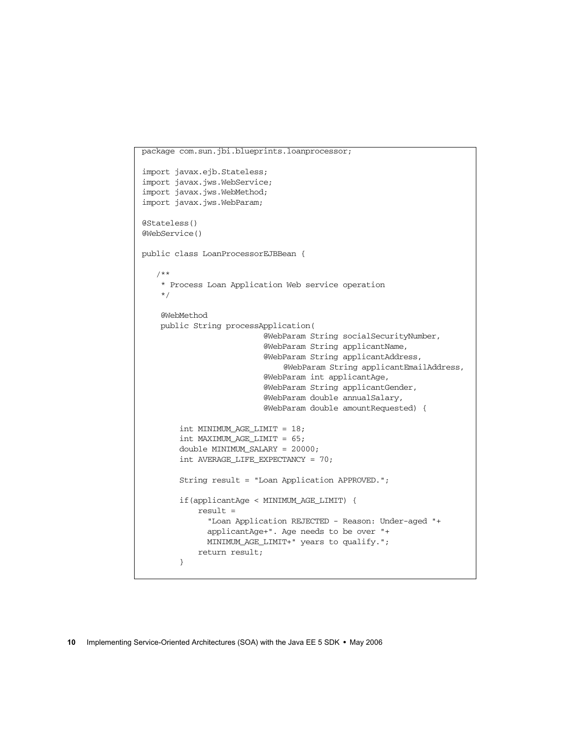```
package com.sun.jbi.blueprints.loanprocessor;
import javax.ejb.Stateless;
import javax.jws.WebService;
import javax.jws.WebMethod;
import javax.jws.WebParam;
@Stateless()
@WebService()
public class LoanProcessorEJBBean {
    /**
     * Process Loan Application Web service operation
     */
     @WebMethod
     public String processApplication(
                            @WebParam String socialSecurityNumber,
                            @WebParam String applicantName, 
                            @WebParam String applicantAddress, 
                                 @WebParam String applicantEmailAddress, 
                            @WebParam int applicantAge, 
                            @WebParam String applicantGender, 
                            @WebParam double annualSalary, 
                            @WebParam double amountRequested) {
         int MINIMUM_AGE_LIMIT = 18;
         int MAXIMUM_AGE_LIMIT = 65;
         double MINIMUM_SALARY = 20000;
         int AVERAGE_LIFE_EXPECTANCY = 70;
         String result = "Loan Application APPROVED.";
         if(applicantAge < MINIMUM_AGE_LIMIT) {
             result = 
                "Loan Application REJECTED - Reason: Under-aged "+
               applicantAge+". Age needs to be over "+
               MINIMUM_AGE_LIMIT+" years to qualify.";
             return result;
         }
```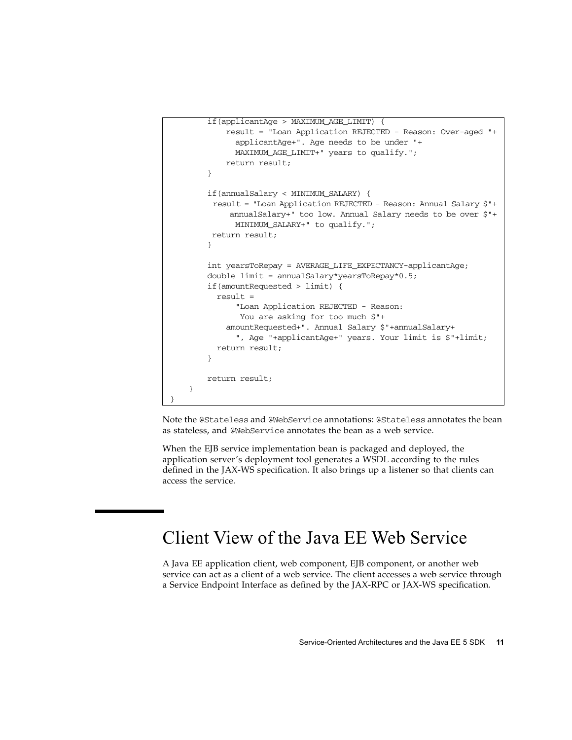```
 if(applicantAge > MAXIMUM_AGE_LIMIT) {
             result = "Loan Application REJECTED - Reason: Over-aged "+
               applicantAge+". Age needs to be under "+
               MAXIMUM_AGE_LIMIT+" years to qualify.";
             return result;
         }
        if(annualSalary < MINIMUM_SALARY) {
          result = "Loan Application REJECTED - Reason: Annual Salary $"+
             annualSalary+" too low. Annual Salary needs to be over $"+
               MINIMUM_SALARY+" to qualify.";
         return result;
 }
        int yearsToRepay = AVERAGE_LIFE_EXPECTANCY-applicantAge;
        double limit = annualSalary*yearsToRepay*0.5;
        if(amountRequested > limit) {
           result = 
               "Loan Application REJECTED - Reason:
               You are asking for too much $"+
             amountRequested+". Annual Salary $"+annualSalary+
               ", Age "+applicantAge+" years. Your limit is $"+limit;
          return result;
 }
        return result;
    }
}
```
Note the @Stateless and @WebService annotations: @Stateless annotates the bean as stateless, and @WebService annotates the bean as a web service.

When the EJB service implementation bean is packaged and deployed, the application server's deployment tool generates a WSDL according to the rules defined in the JAX-WS specification. It also brings up a listener so that clients can access the service.

## <span id="page-10-0"></span>Client View of the Java EE Web Service

<span id="page-10-1"></span>A Java EE application client, web component, EJB component, or another web service can act as a client of a web service. The client accesses a web service through a Service Endpoint Interface as defined by the JAX-RPC or JAX-WS specification.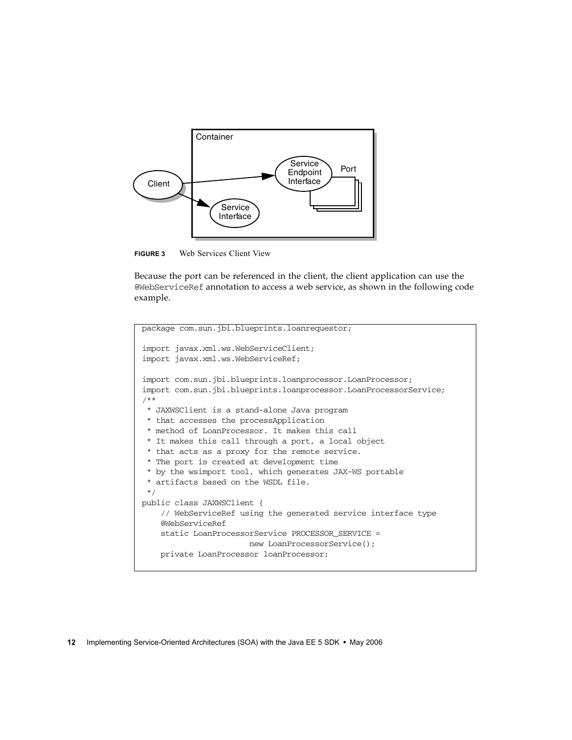

**FIGURE 3** Web Services Client View

Because the port can be referenced in the client, the client application can use the @WebServiceRef annotation to access a web service, as shown in the following code example.

```
package com.sun.jbi.blueprints.loanrequestor;
import javax.xml.ws.WebServiceClient;
import javax.xml.ws.WebServiceRef;
import com.sun.jbi.blueprints.loanprocessor.LoanProcessor;
import com.sun.jbi.blueprints.loanprocessor.LoanProcessorService;
/**
  * JAXWSClient is a stand-alone Java program 
 * that accesses the processApplication
  * method of LoanProcessor. It makes this call
  * It makes this call through a port, a local object
  * that acts as a proxy for the remote service.
  * The port is created at development time
  * by the wsimport tool, which generates JAX-WS portable
  * artifacts based on the WSDL file.
  */
public class JAXWSClient {
     // WebServiceRef using the generated service interface type
     @WebServiceRef
     static LoanProcessorService PROCESSOR_SERVICE = 
                        new LoanProcessorService();
     private LoanProcessor loanProcessor;
```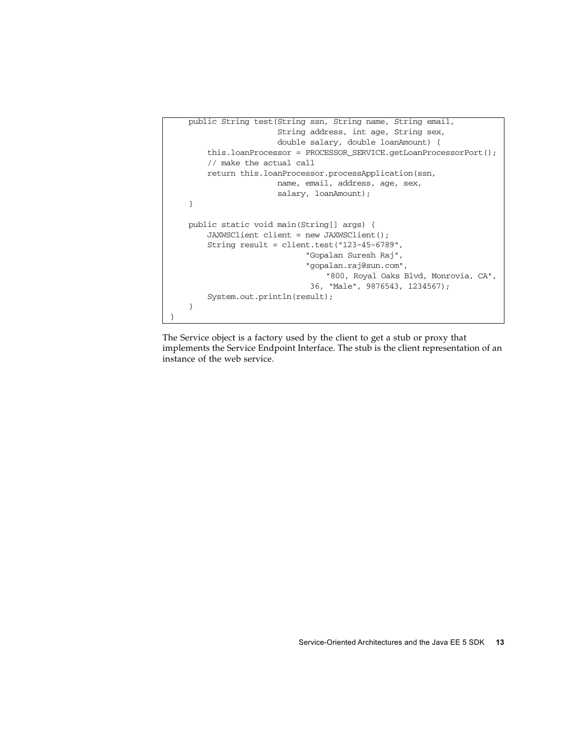```
 public String test(String ssn, String name, String email, 
                         String address, int age, String sex, 
                         double salary, double loanAmount) {
         this.loanProcessor = PROCESSOR_SERVICE.getLoanProcessorPort();
         // make the actual call
         return this.loanProcessor.processApplication(ssn, 
                        name, email, address, age, sex,
                         salary, loanAmount);
    }
    public static void main(String[] args) {
         JAXWSClient client = new JAXWSClient();
         String result = client.test("123-45-6789", 
                               "Gopalan Suresh Raj",
                               "gopalan.raj@sun.com",
                                    "800, Royal Oaks Blvd, Monrovia, CA",
                                36, "Male", 9876543, 1234567);
         System.out.println(result);
    }
}
```
The Service object is a factory used by the client to get a stub or proxy that implements the Service Endpoint Interface. The stub is the client representation of an instance of the web service.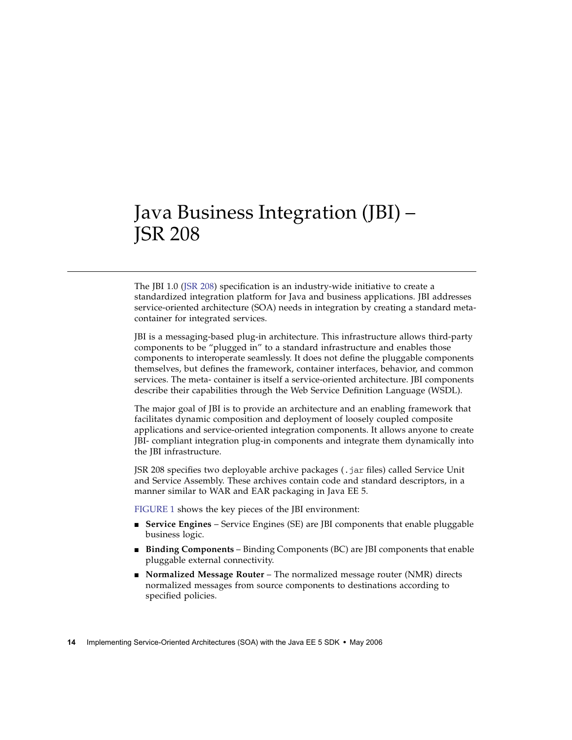# <span id="page-13-0"></span>Java Business Integration (JBI) – JSR 208

<span id="page-13-2"></span>The JBI 1.0 ([JSR 208](http://www.jcp.org/en/jsr/detail?id=208)) specification is an industry-wide initiative to create a standardized integration platform for Java and business applications. JBI addresses service-oriented architecture (SOA) needs in integration by creating a standard metacontainer for integrated services.

JBI is a messaging-based plug-in architecture. This infrastructure allows third-party components to be "plugged in" to a standard infrastructure and enables those components to interoperate seamlessly. It does not define the pluggable components themselves, but defines the framework, container interfaces, behavior, and common services. The meta- container is itself a service-oriented architecture. JBI components describe their capabilities through the Web Service Definition Language (WSDL).

The major goal of JBI is to provide an architecture and an enabling framework that facilitates dynamic composition and deployment of loosely coupled composite applications and service-oriented integration components. It allows anyone to create JBI- compliant integration plug-in components and integrate them dynamically into the JBI infrastructure.

JSR 208 specifies two deployable archive packages (.jar files) called Service Unit and Service Assembly. These archives contain code and standard descriptors, in a manner similar to WAR and EAR packaging in Java EE 5.

<span id="page-13-4"></span>[FIGURE 1](#page-14-1) shows the key pieces of the JBI environment:

- **Service Engines** Service Engines (SE) are JBI components that enable pluggable business logic.
- <span id="page-13-1"></span>■ **Binding Components** – Binding Components (BC) are JBI components that enable pluggable external connectivity.
- <span id="page-13-3"></span>■ **Normalized Message Router** – The normalized message router (NMR) directs normalized messages from source components to destinations according to specified policies.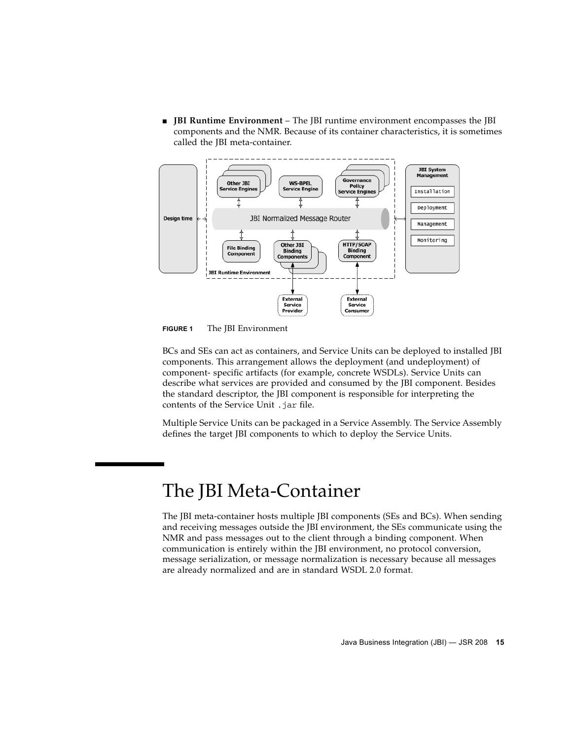<span id="page-14-3"></span>■ **JBI Runtime Environment** – The JBI runtime environment encompasses the JBI components and the NMR. Because of its container characteristics, it is sometimes called the JBI meta-container.



<span id="page-14-1"></span>**FIGURE 1** The JBI Environment

<span id="page-14-4"></span>BCs and SEs can act as containers, and Service Units can be deployed to installed JBI components. This arrangement allows the deployment (and undeployment) of component- specific artifacts (for example, concrete WSDLs). Service Units can describe what services are provided and consumed by the JBI component. Besides the standard descriptor, the JBI component is responsible for interpreting the contents of the Service Unit .jar file.

Multiple Service Units can be packaged in a Service Assembly. The Service Assembly defines the target JBI components to which to deploy the Service Units.

## <span id="page-14-0"></span>The JBI Meta-Container

<span id="page-14-2"></span>The JBI meta-container hosts multiple JBI components (SEs and BCs). When sending and receiving messages outside the JBI environment, the SEs communicate using the NMR and pass messages out to the client through a binding component. When communication is entirely within the JBI environment, no protocol conversion, message serialization, or message normalization is necessary because all messages are already normalized and are in standard WSDL 2.0 format.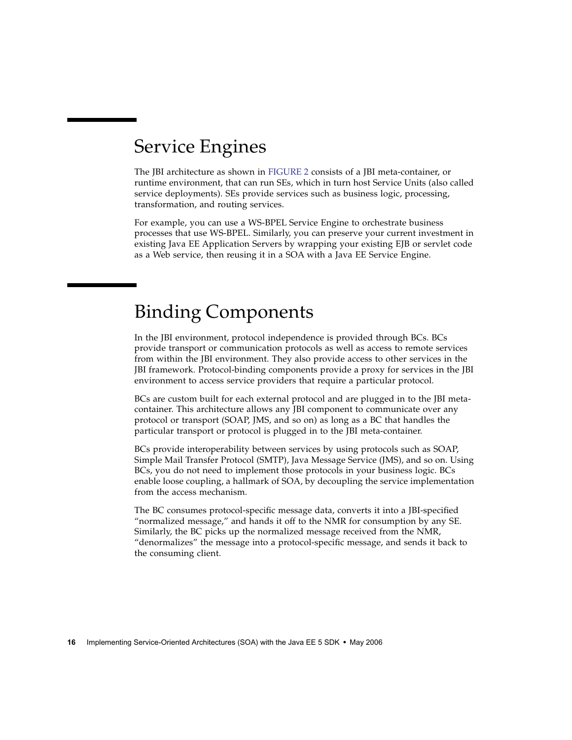# <span id="page-15-0"></span>Service Engines

<span id="page-15-5"></span>The JBI architecture as shown in [FIGURE 2](#page-16-2) consists of a JBI meta-container, or runtime environment, that can run SEs, which in turn host Service Units (also called service deployments). SEs provide services such as business logic, processing, transformation, and routing services.

For example, you can use a WS-BPEL Service Engine to orchestrate business processes that use WS-BPEL. Similarly, you can preserve your current investment in existing Java EE Application Servers by wrapping your existing EJB or servlet code as a Web service, then reusing it in a SOA with a Java EE Service Engine.

# <span id="page-15-1"></span>Binding Components

<span id="page-15-2"></span>In the JBI environment, protocol independence is provided through BCs. BCs provide transport or communication protocols as well as access to remote services from within the JBI environment. They also provide access to other services in the JBI framework. Protocol-binding components provide a proxy for services in the JBI environment to access service providers that require a particular protocol.

BCs are custom built for each external protocol and are plugged in to the JBI metacontainer. This architecture allows any JBI component to communicate over any protocol or transport (SOAP, JMS, and so on) as long as a BC that handles the particular transport or protocol is plugged in to the JBI meta-container.

<span id="page-15-7"></span><span id="page-15-6"></span><span id="page-15-3"></span>BCs provide interoperability between services by using protocols such as SOAP, Simple Mail Transfer Protocol (SMTP), Java Message Service (JMS), and so on. Using BCs, you do not need to implement those protocols in your business logic. BCs enable loose coupling, a hallmark of SOA, by decoupling the service implementation from the access mechanism.

<span id="page-15-4"></span>The BC consumes protocol-specific message data, converts it into a JBI-specified "normalized message," and hands it off to the NMR for consumption by any SE. Similarly, the BC picks up the normalized message received from the NMR, "denormalizes" the message into a protocol-specific message, and sends it back to the consuming client.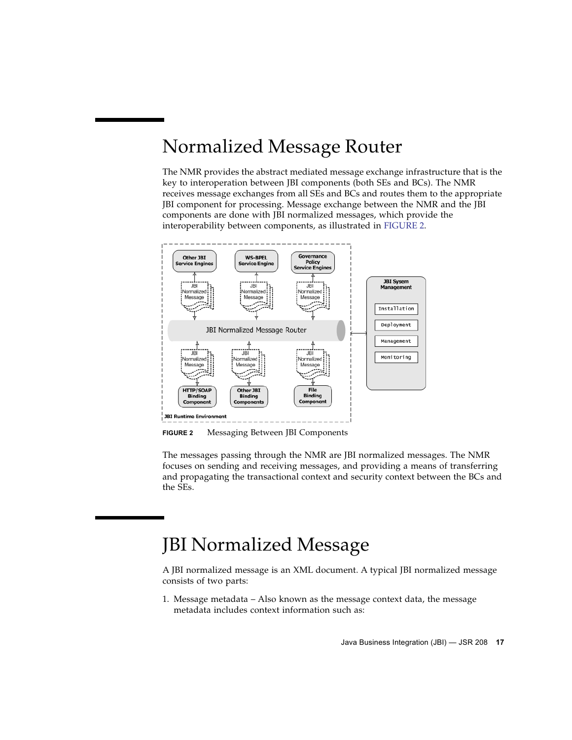# <span id="page-16-0"></span>Normalized Message Router

<span id="page-16-3"></span>The NMR provides the abstract mediated message exchange infrastructure that is the key to interoperation between JBI components (both SEs and BCs). The NMR receives message exchanges from all SEs and BCs and routes them to the appropriate JBI component for processing. Message exchange between the NMR and the JBI components are done with JBI normalized messages, which provide the interoperability between components, as illustrated in [FIGURE 2](#page-16-2).



<span id="page-16-2"></span>**FIGURE 2** Messaging Between JBI Components

The messages passing through the NMR are JBI normalized messages. The NMR focuses on sending and receiving messages, and providing a means of transferring and propagating the transactional context and security context between the BCs and the SEs.

# <span id="page-16-1"></span>JBI Normalized Message

<span id="page-16-4"></span>A JBI normalized message is an XML document. A typical JBI normalized message consists of two parts:

1. Message metadata – Also known as the message context data, the message metadata includes context information such as: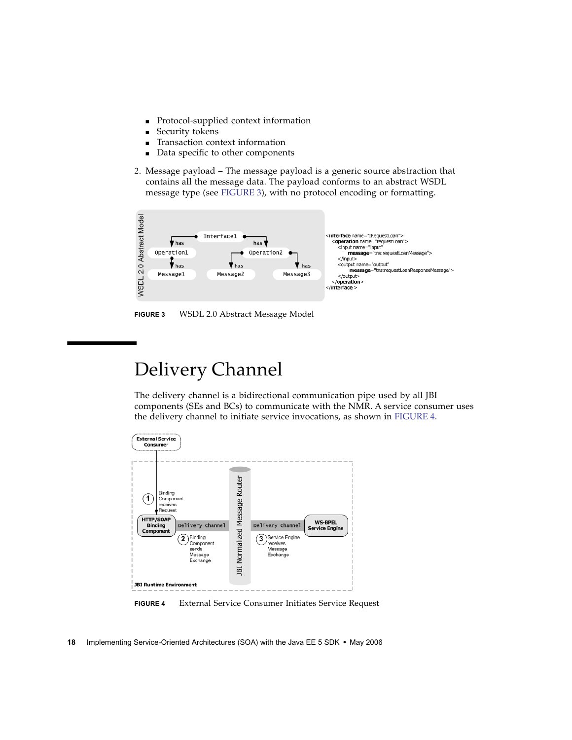- Protocol-supplied context information
- Security tokens
- Transaction context information
- Data specific to other components
- 2. Message payload The message payload is a generic source abstraction that contains all the message data. The payload conforms to an abstract WSDL message type (see [FIGURE 3\)](#page-17-1), with no protocol encoding or formatting.



<span id="page-17-4"></span><span id="page-17-1"></span>**FIGURE 3** WSDL 2.0 Abstract Message Model

# <span id="page-17-0"></span>Delivery Channel

<span id="page-17-3"></span>The delivery channel is a bidirectional communication pipe used by all JBI components (SEs and BCs) to communicate with the NMR. A service consumer uses the delivery channel to initiate service invocations, as shown in [FIGURE 4.](#page-17-2)



<span id="page-17-2"></span>**FIGURE 4** External Service Consumer Initiates Service Request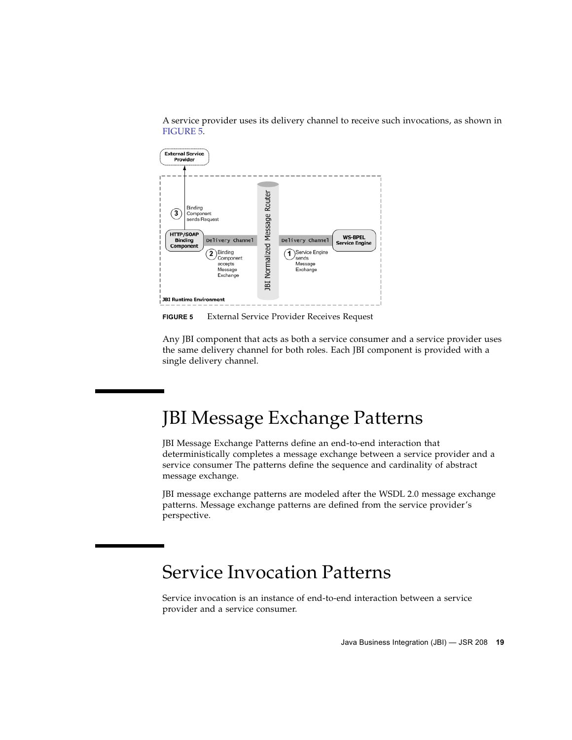A service provider uses its delivery channel to receive such invocations, as shown in [FIGURE 5](#page-18-2).



<span id="page-18-2"></span>**FIGURE 5** External Service Provider Receives Request

Any JBI component that acts as both a service consumer and a service provider uses the same delivery channel for both roles. Each JBI component is provided with a single delivery channel.

# <span id="page-18-0"></span>JBI Message Exchange Patterns

<span id="page-18-3"></span>JBI Message Exchange Patterns define an end-to-end interaction that deterministically completes a message exchange between a service provider and a service consumer The patterns define the sequence and cardinality of abstract message exchange.

JBI message exchange patterns are modeled after the WSDL 2.0 message exchange patterns. Message exchange patterns are defined from the service provider's perspective.

# <span id="page-18-1"></span>Service Invocation Patterns

<span id="page-18-4"></span>Service invocation is an instance of end-to-end interaction between a service provider and a service consumer.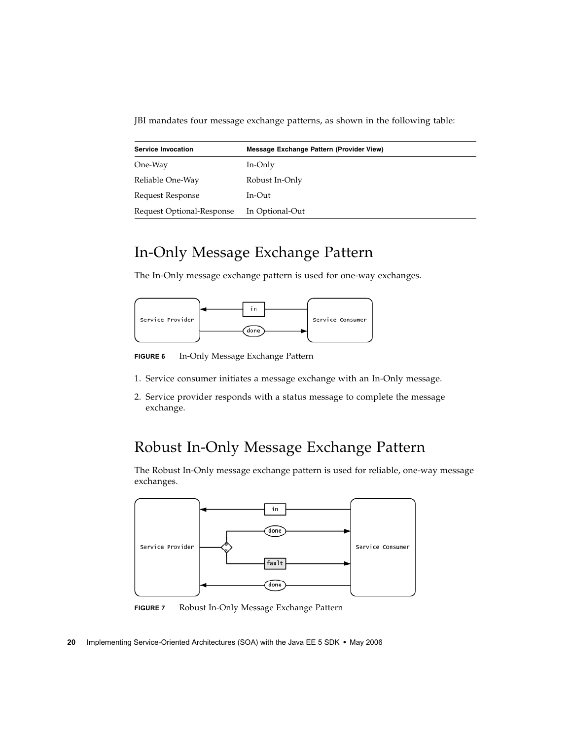JBI mandates four message exchange patterns, as shown in the following table:

| <b>Service Invocation</b> | Message Exchange Pattern (Provider View) |
|---------------------------|------------------------------------------|
| One-Way                   | In-Only                                  |
| Reliable One-Way          | Robust In-Only                           |
| Request Response          | In-Out                                   |
| Request Optional-Response | In Optional-Out                          |

## <span id="page-19-0"></span>In-Only Message Exchange Pattern

<span id="page-19-2"></span>The In-Only message exchange pattern is used for one-way exchanges.



**FIGURE 6** In-Only Message Exchange Pattern

- 1. Service consumer initiates a message exchange with an In-Only message.
- 2. Service provider responds with a status message to complete the message exchange.

## <span id="page-19-1"></span>Robust In-Only Message Exchange Pattern

<span id="page-19-3"></span>The Robust In-Only message exchange pattern is used for reliable, one-way message exchanges.



**FIGURE 7** Robust In-Only Message Exchange Pattern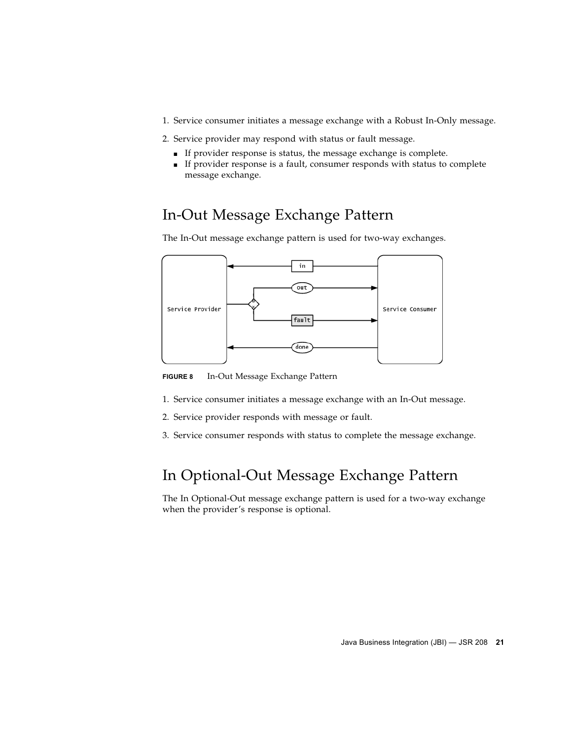- 1. Service consumer initiates a message exchange with a Robust In-Only message.
- 2. Service provider may respond with status or fault message.
	- If provider response is status, the message exchange is complete.
	- If provider response is a fault, consumer responds with status to complete message exchange.

### <span id="page-20-0"></span>In-Out Message Exchange Pattern

<span id="page-20-3"></span>The In-Out message exchange pattern is used for two-way exchanges.



**FIGURE 8** In-Out Message Exchange Pattern

- 1. Service consumer initiates a message exchange with an In-Out message.
- 2. Service provider responds with message or fault.
- 3. Service consumer responds with status to complete the message exchange.

## <span id="page-20-1"></span>In Optional-Out Message Exchange Pattern

<span id="page-20-2"></span>The In Optional-Out message exchange pattern is used for a two-way exchange when the provider's response is optional.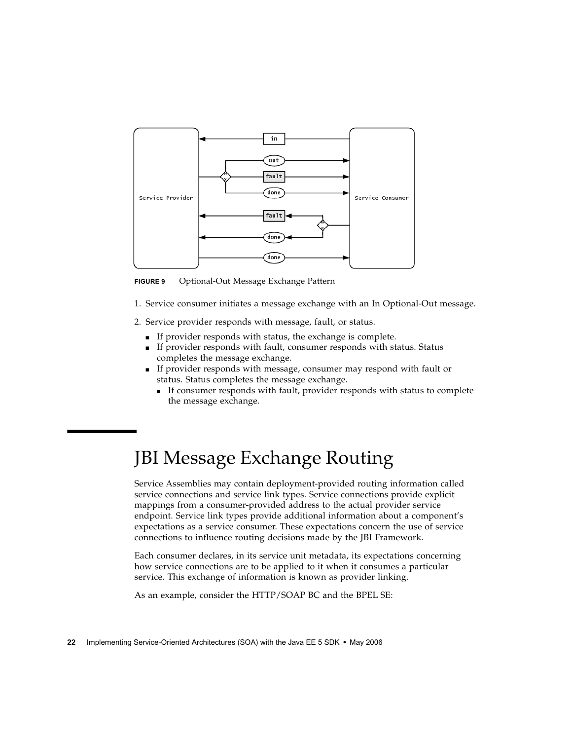

**FIGURE 9** Optional-Out Message Exchange Pattern

- 1. Service consumer initiates a message exchange with an In Optional-Out message.
- 2. Service provider responds with message, fault, or status.
	- If provider responds with status, the exchange is complete.
	- If provider responds with fault, consumer responds with status. Status completes the message exchange.
	- If provider responds with message, consumer may respond with fault or status. Status completes the message exchange.
		- If consumer responds with fault, provider responds with status to complete the message exchange.

# <span id="page-21-0"></span>JBI Message Exchange Routing

<span id="page-21-2"></span><span id="page-21-1"></span>Service Assemblies may contain deployment-provided routing information called service connections and service link types. Service connections provide explicit mappings from a consumer-provided address to the actual provider service endpoint. Service link types provide additional information about a component's expectations as a service consumer. These expectations concern the use of service connections to influence routing decisions made by the JBI Framework.

Each consumer declares, in its service unit metadata, its expectations concerning how service connections are to be applied to it when it consumes a particular service. This exchange of information is known as provider linking.

As an example, consider the HTTP/SOAP BC and the BPEL SE: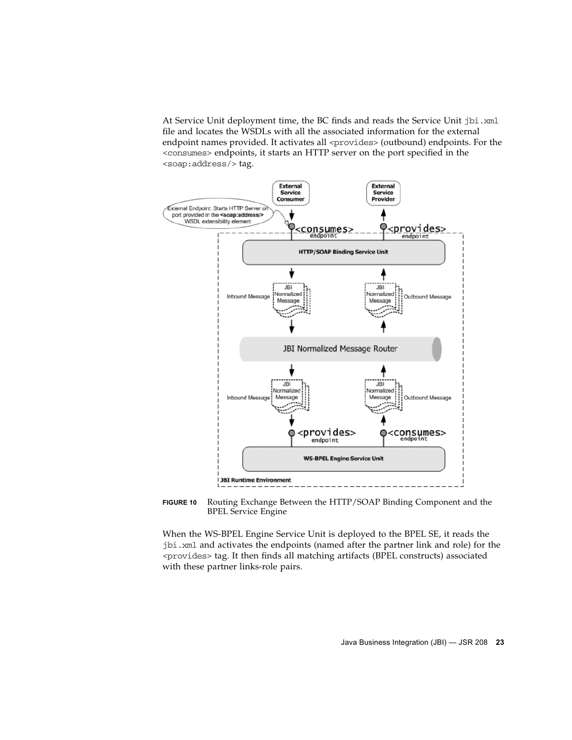<span id="page-22-0"></span>At Service Unit deployment time, the BC finds and reads the Service Unit jbi.xml file and locates the WSDLs with all the associated information for the external endpoint names provided. It activates all <provides> (outbound) endpoints. For the <consumes> endpoints, it starts an HTTP server on the port specified in the <soap:address/> tag.



**FIGURE 10** Routing Exchange Between the HTTP/SOAP Binding Component and the BPEL Service Engine

When the WS-BPEL Engine Service Unit is deployed to the BPEL SE, it reads the jbi.xml and activates the endpoints (named after the partner link and role) for the <provides> tag. It then finds all matching artifacts (BPEL constructs) associated with these partner links-role pairs.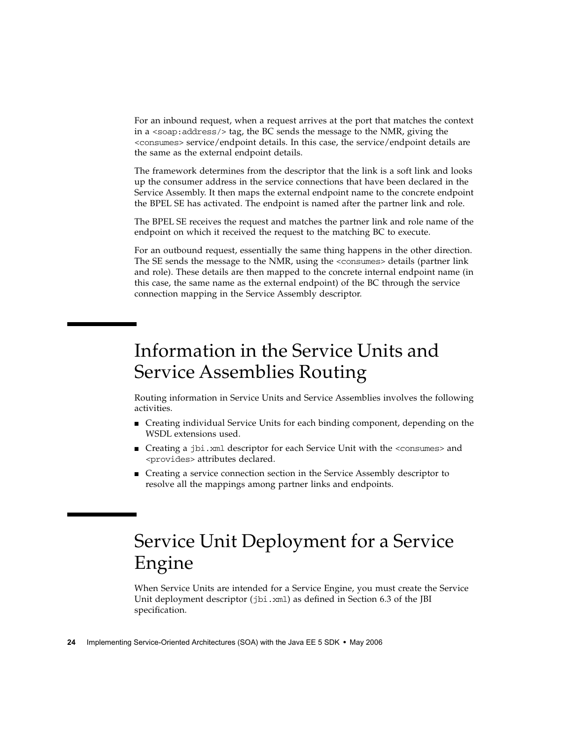For an inbound request, when a request arrives at the port that matches the context in a <soap:address/> tag, the BC sends the message to the NMR, giving the <consumes> service/endpoint details. In this case, the service/endpoint details are the same as the external endpoint details.

The framework determines from the descriptor that the link is a soft link and looks up the consumer address in the service connections that have been declared in the Service Assembly. It then maps the external endpoint name to the concrete endpoint the BPEL SE has activated. The endpoint is named after the partner link and role.

The BPEL SE receives the request and matches the partner link and role name of the endpoint on which it received the request to the matching BC to execute.

For an outbound request, essentially the same thing happens in the other direction. The SE sends the message to the NMR, using the <consumes> details (partner link and role). These details are then mapped to the concrete internal endpoint name (in this case, the same name as the external endpoint) of the BC through the service connection mapping in the Service Assembly descriptor.

# <span id="page-23-0"></span>Information in the Service Units and Service Assemblies Routing

<span id="page-23-3"></span>Routing information in Service Units and Service Assemblies involves the following activities.

- Creating individual Service Units for each binding component, depending on the WSDL extensions used.
- Creating a jbi.xml descriptor for each Service Unit with the <consumes> and <provides> attributes declared.
- Creating a service connection section in the Service Assembly descriptor to resolve all the mappings among partner links and endpoints.

# <span id="page-23-1"></span>Service Unit Deployment for a Service Engine

<span id="page-23-2"></span>When Service Units are intended for a Service Engine, you must create the Service Unit deployment descriptor (jbi.xml) as defined in Section 6.3 of the JBI specification.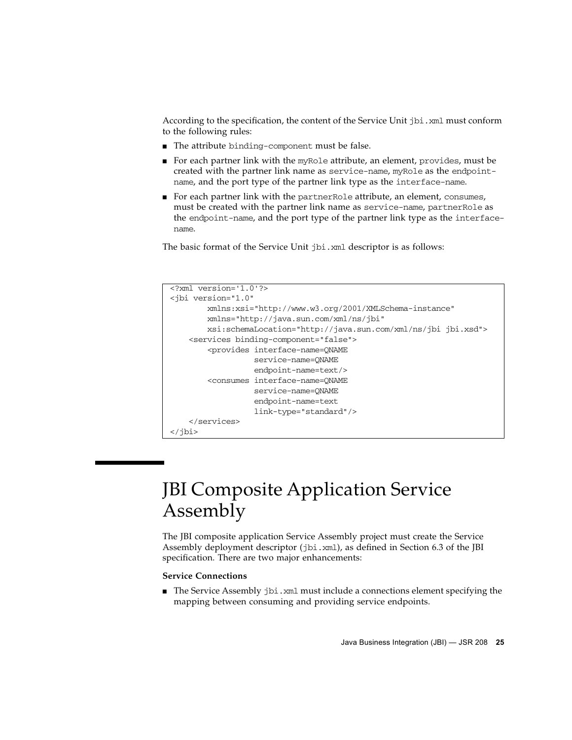According to the specification, the content of the Service Unit jbi.xml must conform to the following rules:

- The attribute binding-component must be false.
- For each partner link with the myRole attribute, an element, provides, must be created with the partner link name as service-name, myRole as the endpointname, and the port type of the partner link type as the interface-name.
- For each partner link with the partnerRole attribute, an element, consumes, must be created with the partner link name as service-name, partnerRole as the endpoint-name, and the port type of the partner link type as the interfacename.

The basic format of the Service Unit jbi.xml descriptor is as follows:

```
<?xml version='1.0'?>
<jbi version="1.0" 
         xmlns:xsi="http://www.w3.org/2001/XMLSchema-instance" 
         xmlns="http://java.sun.com/xml/ns/jbi" 
         xsi:schemaLocation="http://java.sun.com/xml/ns/jbi jbi.xsd">
     <services binding-component="false">
         <provides interface-name=QNAME 
                    service-name=QNAME 
                    endpoint-name=text/>
         <consumes interface-name=QNAME 
                   service-name=QNAME 
                    endpoint-name=text 
                    link-type="standard"/>
     </services>
</jbi>
```
# <span id="page-24-0"></span>JBI Composite Application Service Assembly

<span id="page-24-2"></span><span id="page-24-1"></span>The JBI composite application Service Assembly project must create the Service Assembly deployment descriptor (jbi.xml), as defined in Section 6.3 of the JBI specification. There are two major enhancements:

#### **Service Connections**

■ The Service Assembly jbi. xml must include a connections element specifying the mapping between consuming and providing service endpoints.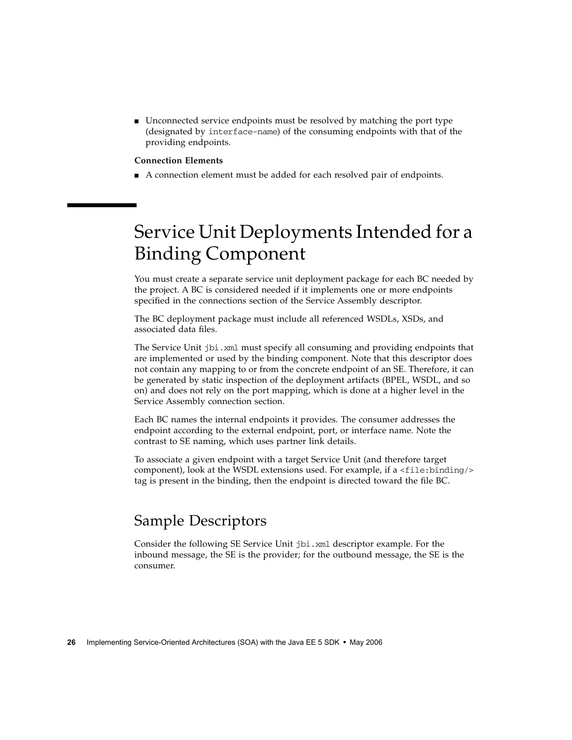■ Unconnected service endpoints must be resolved by matching the port type (designated by interface-name) of the consuming endpoints with that of the providing endpoints.

#### **Connection Elements**

■ A connection element must be added for each resolved pair of endpoints.

# <span id="page-25-0"></span>Service Unit Deployments Intended for a Binding Component

<span id="page-25-2"></span>You must create a separate service unit deployment package for each BC needed by the project. A BC is considered needed if it implements one or more endpoints specified in the connections section of the Service Assembly descriptor.

The BC deployment package must include all referenced WSDLs, XSDs, and associated data files.

The Service Unit jbi.xml must specify all consuming and providing endpoints that are implemented or used by the binding component. Note that this descriptor does not contain any mapping to or from the concrete endpoint of an SE. Therefore, it can be generated by static inspection of the deployment artifacts (BPEL, WSDL, and so on) and does not rely on the port mapping, which is done at a higher level in the Service Assembly connection section.

Each BC names the internal endpoints it provides. The consumer addresses the endpoint according to the external endpoint, port, or interface name. Note the contrast to SE naming, which uses partner link details.

To associate a given endpoint with a target Service Unit (and therefore target component), look at the WSDL extensions used. For example, if a <file:binding/> tag is present in the binding, then the endpoint is directed toward the file BC.

## <span id="page-25-1"></span>Sample Descriptors

Consider the following SE Service Unit jbi.xml descriptor example. For the inbound message, the SE is the provider; for the outbound message, the SE is the consumer.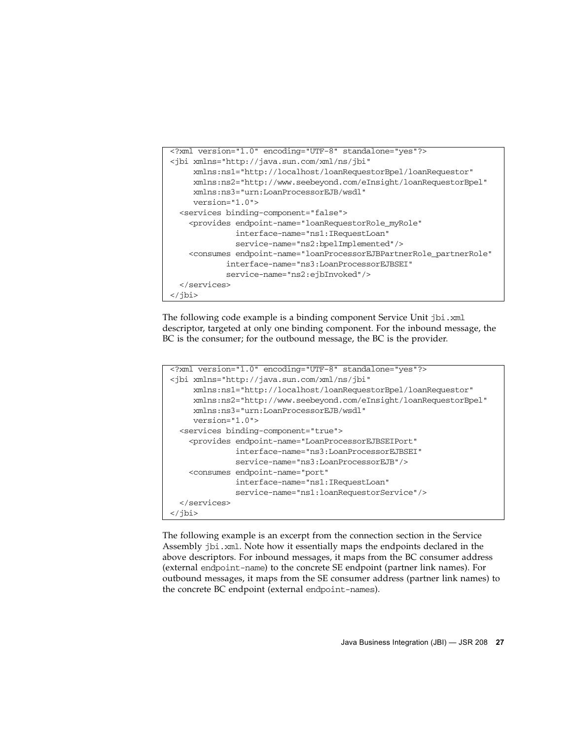```
<?xml version="1.0" encoding="UTF-8" standalone="yes"?>
<jbi xmlns="http://java.sun.com/xml/ns/jbi" 
      xmlns:ns1="http://localhost/loanRequestorBpel/loanRequestor" 
      xmlns:ns2="http://www.seebeyond.com/eInsight/loanRequestorBpel" 
      xmlns:ns3="urn:LoanProcessorEJB/wsdl" 
      version="1.0">
   <services binding-component="false">
     <provides endpoint-name="loanRequestorRole_myRole" 
               interface-name="ns1:IRequestLoan" 
               service-name="ns2:bpelImplemented"/>
     <consumes endpoint-name="loanProcessorEJBPartnerRole_partnerRole" 
             interface-name="ns3:LoanProcessorEJBSEI" 
             service-name="ns2:ejbInvoked"/>
   </services>
</jbi>
```
The following code example is a binding component Service Unit jbi.xml descriptor, targeted at only one binding component. For the inbound message, the BC is the consumer; for the outbound message, the BC is the provider.

```
<?xml version="1.0" encoding="UTF-8" standalone="yes"?>
<jbi xmlns="http://java.sun.com/xml/ns/jbi" 
      xmlns:ns1="http://localhost/loanRequestorBpel/loanRequestor" 
      xmlns:ns2="http://www.seebeyond.com/eInsight/loanRequestorBpel" 
      xmlns:ns3="urn:LoanProcessorEJB/wsdl" 
      version="1.0">
   <services binding-component="true">
     <provides endpoint-name="LoanProcessorEJBSEIPort" 
               interface-name="ns3:LoanProcessorEJBSEI" 
               service-name="ns3:LoanProcessorEJB"/>
     <consumes endpoint-name="port" 
               interface-name="ns1:IRequestLoan" 
               service-name="ns1:loanRequestorService"/>
   </services>
</jbi>
```
The following example is an excerpt from the connection section in the Service Assembly jbi.xml. Note how it essentially maps the endpoints declared in the above descriptors. For inbound messages, it maps from the BC consumer address (external endpoint-name) to the concrete SE endpoint (partner link names). For outbound messages, it maps from the SE consumer address (partner link names) to the concrete BC endpoint (external endpoint-names).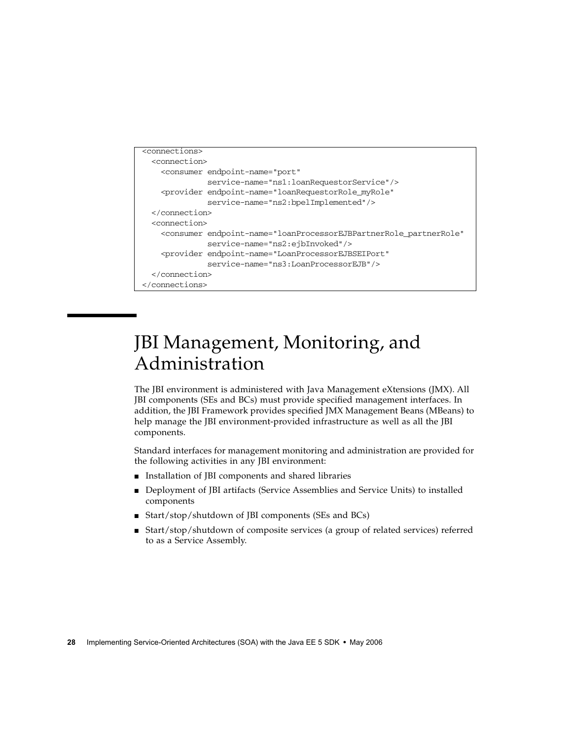```
<connections>
   <connection>
     <consumer endpoint-name="port" 
               service-name="ns1:loanRequestorService"/>
     <provider endpoint-name="loanRequestorRole_myRole" 
               service-name="ns2:bpelImplemented"/>
   </connection>
   <connection>
     <consumer endpoint-name="loanProcessorEJBPartnerRole_partnerRole" 
               service-name="ns2:ejbInvoked"/>
     <provider endpoint-name="LoanProcessorEJBSEIPort" 
               service-name="ns3:LoanProcessorEJB"/>
   </connection>
</connections>
```
# <span id="page-27-0"></span>JBI Management, Monitoring, and Administration

<span id="page-27-1"></span>The JBI environment is administered with Java Management eXtensions (JMX). All JBI components (SEs and BCs) must provide specified management interfaces. In addition, the JBI Framework provides specified JMX Management Beans (MBeans) to help manage the JBI environment-provided infrastructure as well as all the JBI components.

Standard interfaces for management monitoring and administration are provided for the following activities in any JBI environment:

- Installation of JBI components and shared libraries
- Deployment of JBI artifacts (Service Assemblies and Service Units) to installed components
- Start/stop/shutdown of JBI components (SEs and BCs)
- Start/stop/shutdown of composite services (a group of related services) referred to as a Service Assembly.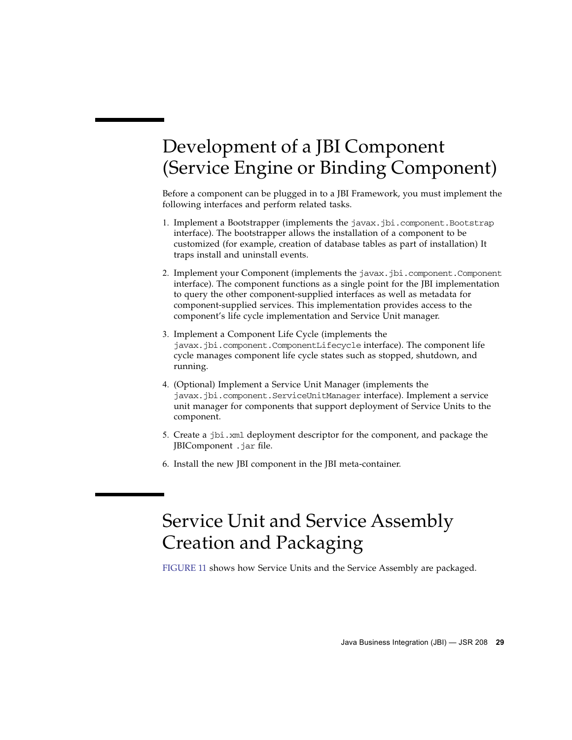# <span id="page-28-0"></span>Development of a JBI Component (Service Engine or Binding Component)

<span id="page-28-2"></span>Before a component can be plugged in to a JBI Framework, you must implement the following interfaces and perform related tasks.

- 1. Implement a Bootstrapper (implements the javax.jbi.component.Bootstrap interface). The bootstrapper allows the installation of a component to be customized (for example, creation of database tables as part of installation) It traps install and uninstall events.
- 2. Implement your Component (implements the javax.jbi.component.Component interface). The component functions as a single point for the JBI implementation to query the other component-supplied interfaces as well as metadata for component-supplied services. This implementation provides access to the component's life cycle implementation and Service Unit manager.
- 3. Implement a Component Life Cycle (implements the javax.jbi.component.ComponentLifecycle interface). The component life cycle manages component life cycle states such as stopped, shutdown, and running.
- 4. (Optional) Implement a Service Unit Manager (implements the javax.jbi.component.ServiceUnitManager interface). Implement a service unit manager for components that support deployment of Service Units to the component.
- 5. Create a jbi.xml deployment descriptor for the component, and package the JBIComponent .jar file.
- 6. Install the new JBI component in the JBI meta-container.

# <span id="page-28-1"></span>Service Unit and Service Assembly Creation and Packaging

<span id="page-28-3"></span>[FIGURE 11](#page-29-1) shows how Service Units and the Service Assembly are packaged.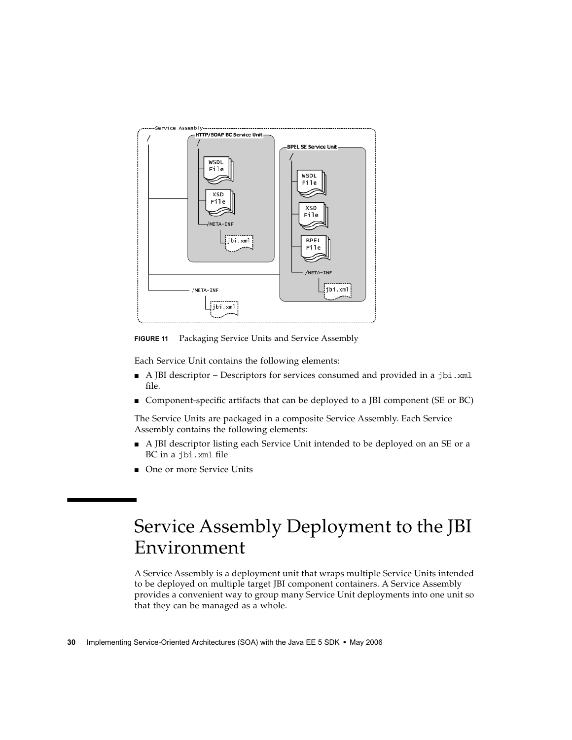

<span id="page-29-1"></span>**FIGURE 11** Packaging Service Units and Service Assembly

Each Service Unit contains the following elements:

- A JBI descriptor Descriptors for services consumed and provided in a jbi.xml file.
- Component-specific artifacts that can be deployed to a JBI component (SE or BC)

The Service Units are packaged in a composite Service Assembly. Each Service Assembly contains the following elements:

- A JBI descriptor listing each Service Unit intended to be deployed on an SE or a BC in a jbi.xml file
- One or more Service Units

# <span id="page-29-0"></span>Service Assembly Deployment to the JBI Environment

<span id="page-29-2"></span>A Service Assembly is a deployment unit that wraps multiple Service Units intended to be deployed on multiple target JBI component containers. A Service Assembly provides a convenient way to group many Service Unit deployments into one unit so that they can be managed as a whole.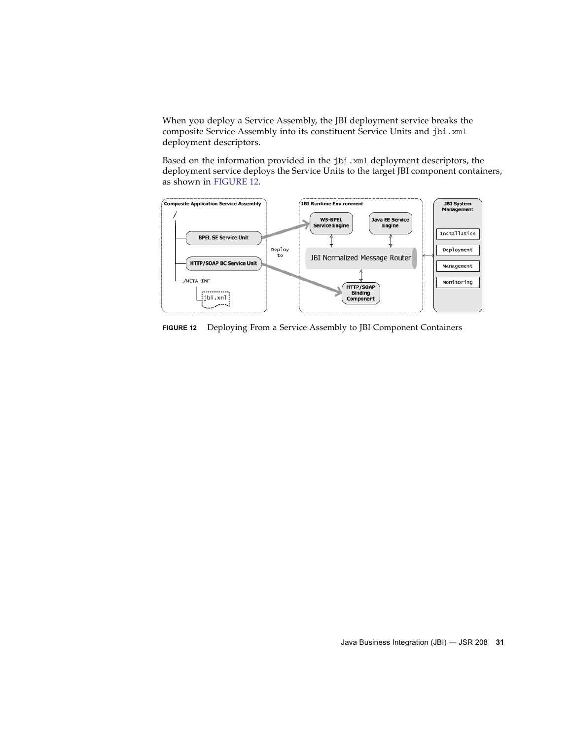When you deploy a Service Assembly, the JBI deployment service breaks the composite Service Assembly into its constituent Service Units and jbi.xml deployment descriptors.

Based on the information provided in the jbi.xml deployment descriptors, the deployment service deploys the Service Units to the target JBI component containers, as shown in [FIGURE 12.](#page-30-0)



<span id="page-30-0"></span>**FIGURE 12** Deploying From a Service Assembly to JBI Component Containers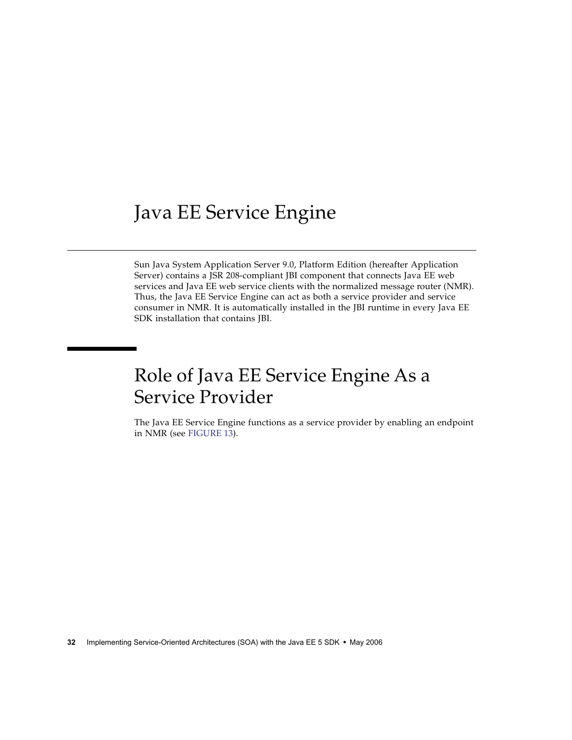## <span id="page-31-5"></span><span id="page-31-0"></span>Java EE Service Engine

<span id="page-31-3"></span><span id="page-31-2"></span>Sun Java System Application Server 9.0, Platform Edition (hereafter Application Server) contains a JSR 208-compliant JBI component that connects Java EE web services and Java EE web service clients with the normalized message router (NMR). Thus, the Java EE Service Engine can act as both a service provider and service consumer in NMR. It is automatically installed in the JBI runtime in every Java EE SDK installation that contains JBI.

# <span id="page-31-1"></span>Role of Java EE Service Engine As a Service Provider

<span id="page-31-4"></span>The Java EE Service Engine functions as a service provider by enabling an endpoint in NMR (see [FIGURE 13](#page-32-1)).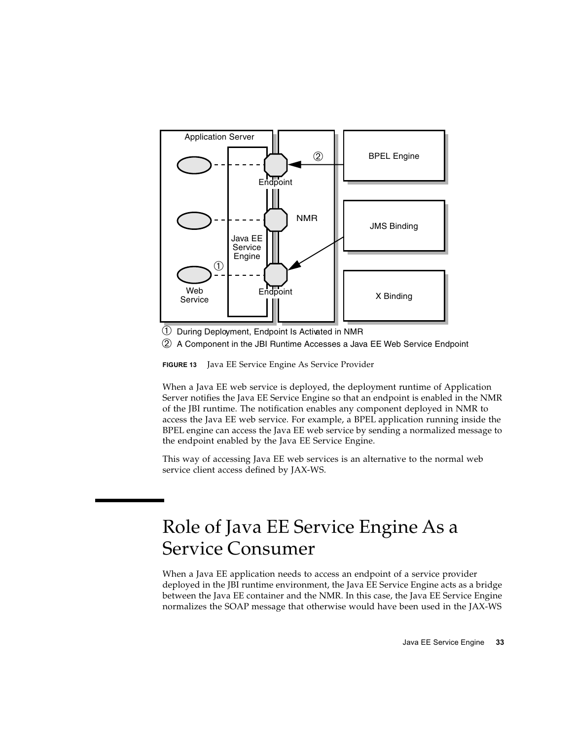

➀ During Deployment, Endpoint Is Activated in NMR

➁ A Component in the JBI Runtime Accesses a Java EE Web Service Endpoint

<span id="page-32-1"></span>**FIGURE 13** Java EE Service Engine As Service Provider

When a Java EE web service is deployed, the deployment runtime of Application Server notifies the Java EE Service Engine so that an endpoint is enabled in the NMR of the JBI runtime. The notification enables any component deployed in NMR to access the Java EE web service. For example, a BPEL application running inside the BPEL engine can access the Java EE web service by sending a normalized message to the endpoint enabled by the Java EE Service Engine.

This way of accessing Java EE web services is an alternative to the normal web service client access defined by JAX-WS.

# <span id="page-32-2"></span><span id="page-32-0"></span>Role of Java EE Service Engine As a Service Consumer

When a Java EE application needs to access an endpoint of a service provider deployed in the JBI runtime environment, the Java EE Service Engine acts as a bridge between the Java EE container and the NMR. In this case, the Java EE Service Engine normalizes the SOAP message that otherwise would have been used in the JAX-WS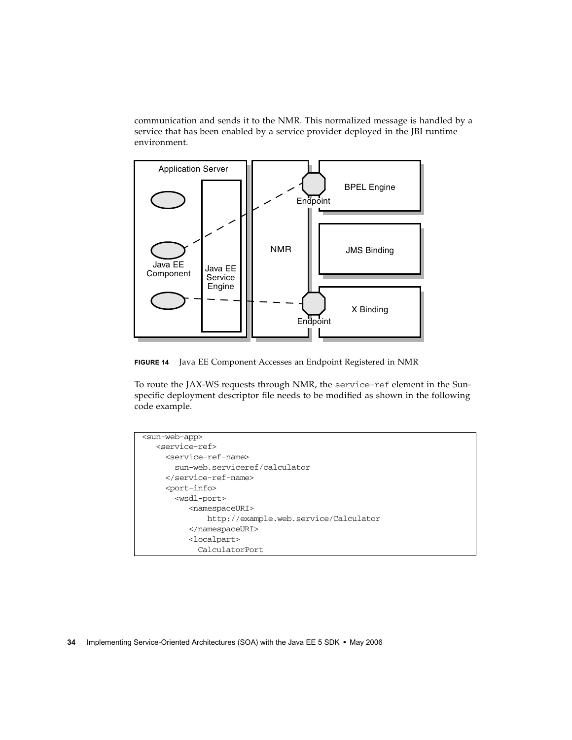communication and sends it to the NMR. This normalized message is handled by a service that has been enabled by a service provider deployed in the JBI runtime environment.



**FIGURE 14** Java EE Component Accesses an Endpoint Registered in NMR

To route the JAX-WS requests through NMR, the service-ref element in the Sunspecific deployment descriptor file needs to be modified as shown in the following code example.

```
<sun-web-app>
   <service-ref>
      <service-ref-name>
        sun-web.serviceref/calculator
      </service-ref-name>
      <port-info> 
        <wsdl-port>
           <namespaceURI>
               http://example.web.service/Calculator
           </namespaceURI>
           <localpart>
              CalculatorPort
```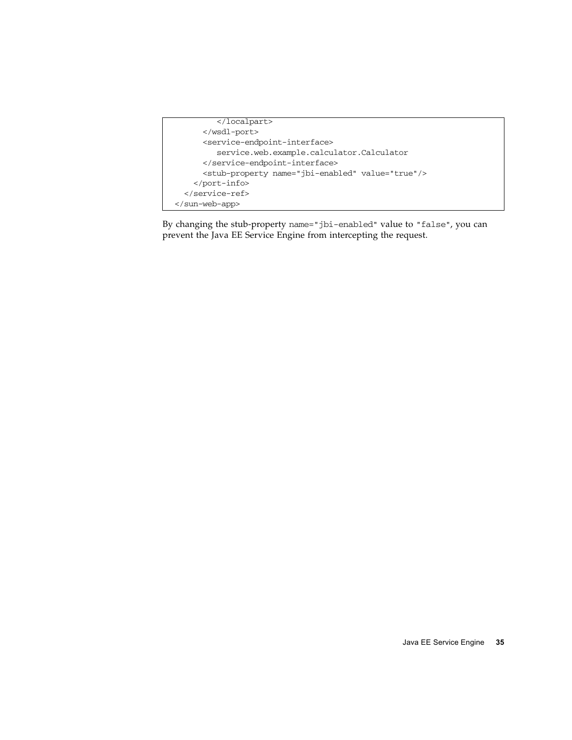```
 </localpart>
       </wsdl-port>
       <service-endpoint-interface>
          service.web.example.calculator.Calculator
      </service-endpoint-interface>
       <stub-property name="jbi-enabled" value="true"/>
     </port-info>
   </service-ref>
 </sun-web-app>
```
By changing the stub-property name="jbi-enabled" value to "false", you can prevent the Java EE Service Engine from intercepting the request.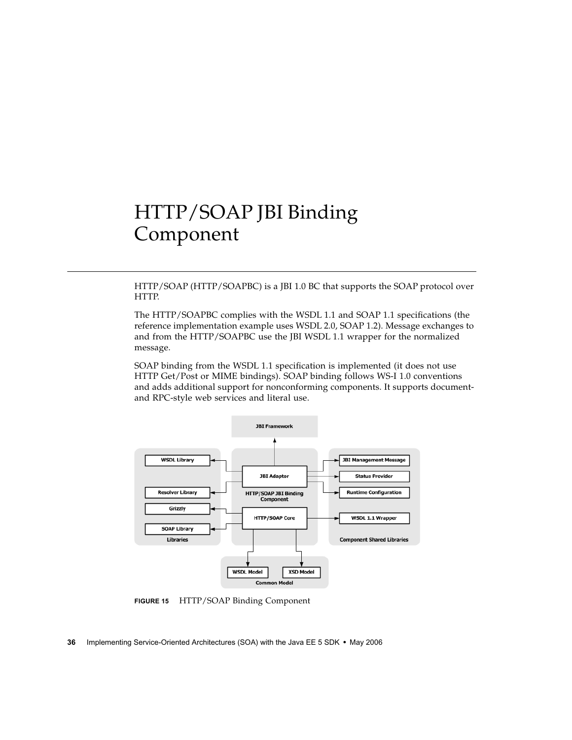# <span id="page-35-1"></span><span id="page-35-0"></span>HTTP/SOAP JBI Binding Component

HTTP/SOAP (HTTP/SOAPBC) is a JBI 1.0 BC that supports the SOAP protocol over HTTP.

The HTTP/SOAPBC complies with the WSDL 1.1 and SOAP 1.1 specifications (the reference implementation example uses WSDL 2.0, SOAP 1.2). Message exchanges to and from the HTTP/SOAPBC use the JBI WSDL 1.1 wrapper for the normalized message.

SOAP binding from the WSDL 1.1 specification is implemented (it does not use HTTP Get/Post or MIME bindings). SOAP binding follows WS-I 1.0 conventions and adds additional support for nonconforming components. It supports documentand RPC-style web services and literal use.



**FIGURE 15** HTTP/SOAP Binding Component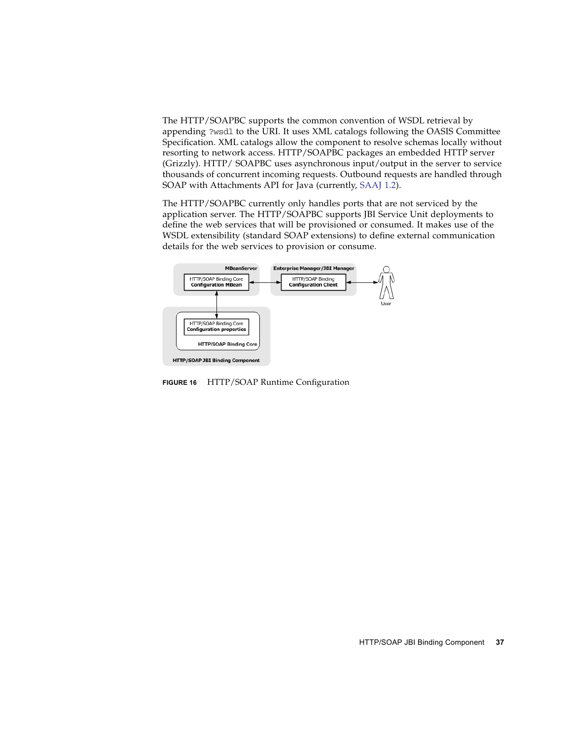The HTTP/SOAPBC supports the common convention of WSDL retrieval by appending ?wsdl to the URI. It uses XML catalogs following the OASIS Committee Specification. XML catalogs allow the component to resolve schemas locally without resorting to network access. HTTP/SOAPBC packages an embedded HTTP server (Grizzly). HTTP/ SOAPBC uses asynchronous input/output in the server to service thousands of concurrent incoming requests. Outbound requests are handled through SOAP with Attachments API for Java (currently, [SAAJ 1.2\)](http://java.sun.com/webservices/saaj/index.jsp).

<span id="page-36-0"></span>The HTTP/SOAPBC currently only handles ports that are not serviced by the application server. The HTTP/SOAPBC supports JBI Service Unit deployments to define the web services that will be provisioned or consumed. It makes use of the WSDL extensibility (standard SOAP extensions) to define external communication details for the web services to provision or consume.



**FIGURE 16** HTTP/SOAP Runtime Configuration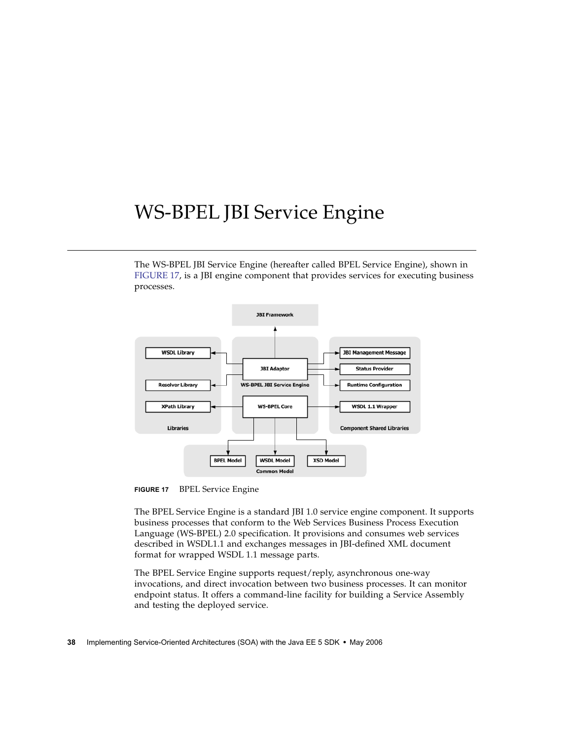# <span id="page-37-0"></span>WS-BPEL JBI Service Engine

<span id="page-37-3"></span><span id="page-37-2"></span>The WS-BPEL JBI Service Engine (hereafter called BPEL Service Engine), shown in [FIGURE 17,](#page-37-1) is a JBI engine component that provides services for executing business processes.



<span id="page-37-1"></span>**FIGURE 17** BPEL Service Engine

The BPEL Service Engine is a standard JBI 1.0 service engine component. It supports business processes that conform to the Web Services Business Process Execution Language (WS-BPEL) 2.0 specification. It provisions and consumes web services described in WSDL1.1 and exchanges messages in JBI-defined XML document format for wrapped WSDL 1.1 message parts.

The BPEL Service Engine supports request/reply, asynchronous one-way invocations, and direct invocation between two business processes. It can monitor endpoint status. It offers a command-line facility for building a Service Assembly and testing the deployed service.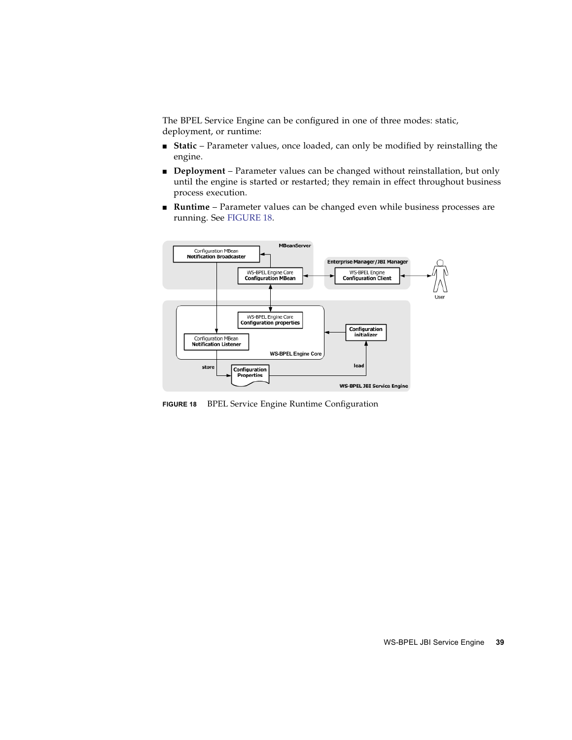<span id="page-38-1"></span>The BPEL Service Engine can be configured in one of three modes: static, deployment, or runtime:

- **Static** Parameter values, once loaded, can only be modified by reinstalling the engine.
- **Deployment** Parameter values can be changed without reinstallation, but only until the engine is started or restarted; they remain in effect throughout business process execution.
- **Runtime** Parameter values can be changed even while business processes are running. See [FIGURE 18](#page-38-0).



<span id="page-38-0"></span>**FIGURE 18** BPEL Service Engine Runtime Configuration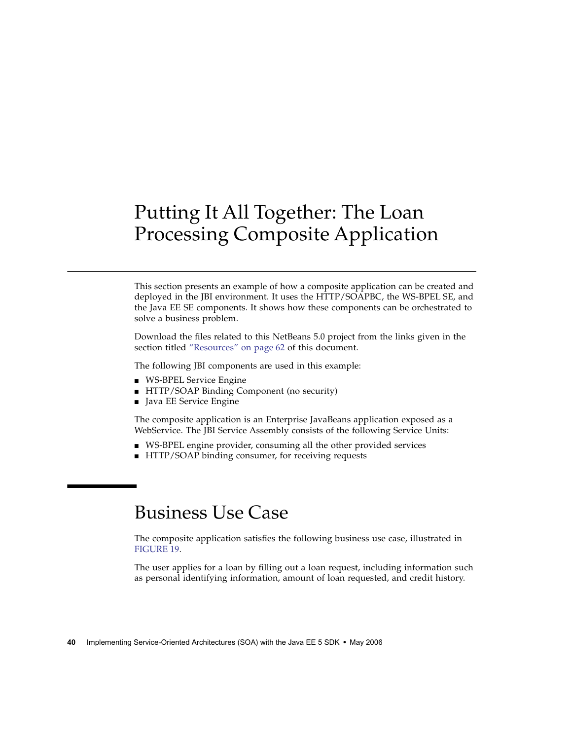# <span id="page-39-4"></span><span id="page-39-0"></span>Putting It All Together: The Loan Processing Composite Application

<span id="page-39-2"></span>This section presents an example of how a composite application can be created and deployed in the JBI environment. It uses the HTTP/SOAPBC, the WS-BPEL SE, and the Java EE SE components. It shows how these components can be orchestrated to solve a business problem.

Download the files related to this NetBeans 5.0 project from the links given in the section titled ["Resources" on page 62](#page-61-4) of this document.

The following JBI components are used in this example:

- WS-BPEL Service Engine
- HTTP/SOAP Binding Component (no security)
- Java EE Service Engine

The composite application is an Enterprise JavaBeans application exposed as a WebService. The JBI Service Assembly consists of the following Service Units:

- WS-BPEL engine provider, consuming all the other provided services
- HTTP/SOAP binding consumer, for receiving requests

## <span id="page-39-3"></span><span id="page-39-1"></span>Business Use Case

The composite application satisfies the following business use case, illustrated in [FIGURE 19.](#page-40-1)

The user applies for a loan by filling out a loan request, including information such as personal identifying information, amount of loan requested, and credit history.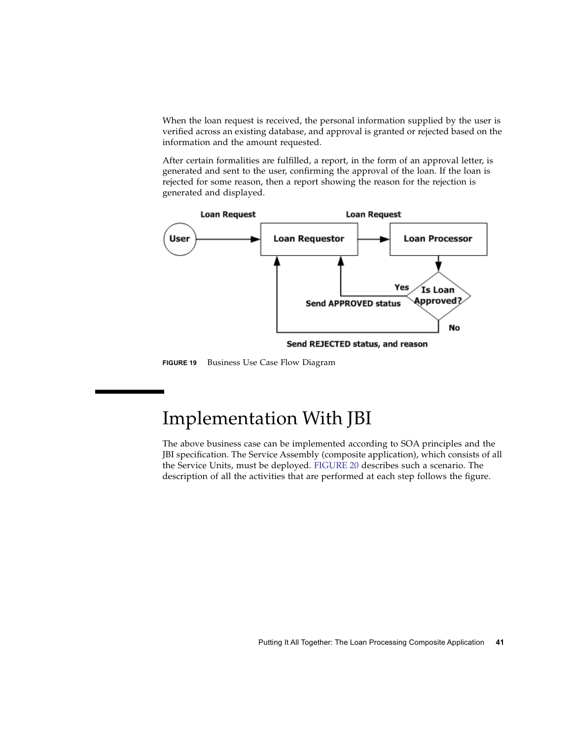When the loan request is received, the personal information supplied by the user is verified across an existing database, and approval is granted or rejected based on the information and the amount requested.

After certain formalities are fulfilled, a report, in the form of an approval letter, is generated and sent to the user, confirming the approval of the loan. If the loan is rejected for some reason, then a report showing the reason for the rejection is generated and displayed.



Send REJECTED status, and reason

<span id="page-40-1"></span>**FIGURE 19** Business Use Case Flow Diagram

# <span id="page-40-0"></span>Implementation With JBI

<span id="page-40-2"></span>The above business case can be implemented according to SOA principles and the JBI specification. The Service Assembly (composite application), which consists of all the Service Units, must be deployed. [FIGURE 20](#page-41-0) describes such a scenario. The description of all the activities that are performed at each step follows the figure.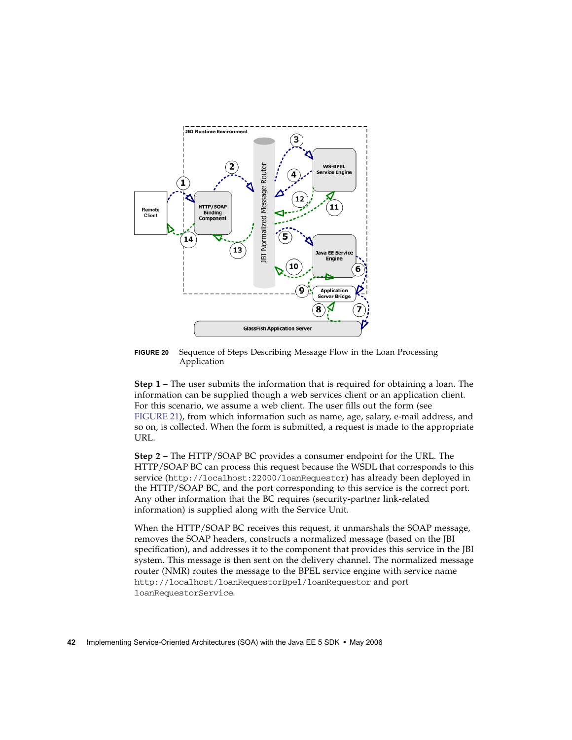

<span id="page-41-0"></span>**FIGURE 20** Sequence of Steps Describing Message Flow in the Loan Processing Application

**Step 1** – The user submits the information that is required for obtaining a loan. The information can be supplied though a web services client or an application client. For this scenario, we assume a web client. The user fills out the form (see [FIGURE 21\)](#page-42-0), from which information such as name, age, salary, e-mail address, and so on, is collected. When the form is submitted, a request is made to the appropriate URL.

**Step 2** – The HTTP/SOAP BC provides a consumer endpoint for the URL. The HTTP/SOAP BC can process this request because the WSDL that corresponds to this service (http://localhost:22000/loanRequestor) has already been deployed in the HTTP/SOAP BC, and the port corresponding to this service is the correct port. Any other information that the BC requires (security-partner link-related information) is supplied along with the Service Unit.

When the HTTP/SOAP BC receives this request, it unmarshals the SOAP message, removes the SOAP headers, constructs a normalized message (based on the JBI specification), and addresses it to the component that provides this service in the JBI system. This message is then sent on the delivery channel. The normalized message router (NMR) routes the message to the BPEL service engine with service name http://localhost/loanRequestorBpel/loanRequestor and port loanRequestorService.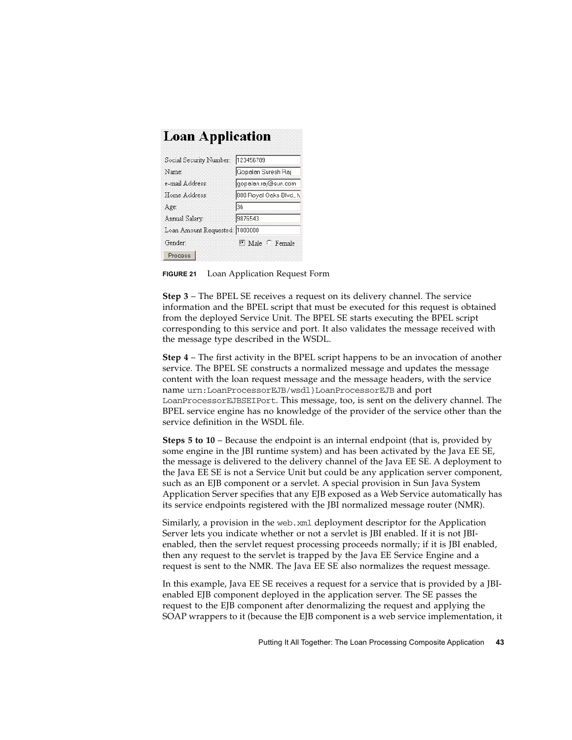| <b>Loan Application</b>        |                         |
|--------------------------------|-------------------------|
| Social Security Number:        | 123456789               |
| Name:                          | Gopalan Suresh Raj      |
| e-mail Address:                | qopalan.raj@sun.com     |
| Home Address:                  | 800 Royal Oaks Blvd., N |
| Age:                           | 36                      |
| Annual Salary:                 | 9876543                 |
| Loan Amount Requested: 1000000 |                         |
| Gender                         | <b>C</b> Male C Female  |
| Process                        |                         |

<span id="page-42-0"></span>**FIGURE 21** Loan Application Request Form

**Step 3** – The BPEL SE receives a request on its delivery channel. The service information and the BPEL script that must be executed for this request is obtained from the deployed Service Unit. The BPEL SE starts executing the BPEL script corresponding to this service and port. It also validates the message received with the message type described in the WSDL.

**Step 4** – The first activity in the BPEL script happens to be an invocation of another service. The BPEL SE constructs a normalized message and updates the message content with the loan request message and the message headers, with the service name urn:LoanProcessorEJB/wsdl}LoanProcessorEJB and port LoanProcessorEJBSEIPort. This message, too, is sent on the delivery channel. The BPEL service engine has no knowledge of the provider of the service other than the service definition in the WSDL file.

**Steps 5 to 10** – Because the endpoint is an internal endpoint (that is, provided by some engine in the JBI runtime system) and has been activated by the Java EE SE, the message is delivered to the delivery channel of the Java EE SE. A deployment to the Java EE SE is not a Service Unit but could be any application server component, such as an EJB component or a servlet. A special provision in Sun Java System Application Server specifies that any EJB exposed as a Web Service automatically has its service endpoints registered with the JBI normalized message router (NMR).

Similarly, a provision in the web.xml deployment descriptor for the Application Server lets you indicate whether or not a servlet is JBI enabled. If it is not JBIenabled, then the servlet request processing proceeds normally; if it is JBI enabled, then any request to the servlet is trapped by the Java EE Service Engine and a request is sent to the NMR. The Java EE SE also normalizes the request message.

In this example, Java EE SE receives a request for a service that is provided by a JBIenabled EJB component deployed in the application server. The SE passes the request to the EJB component after denormalizing the request and applying the SOAP wrappers to it (because the EJB component is a web service implementation, it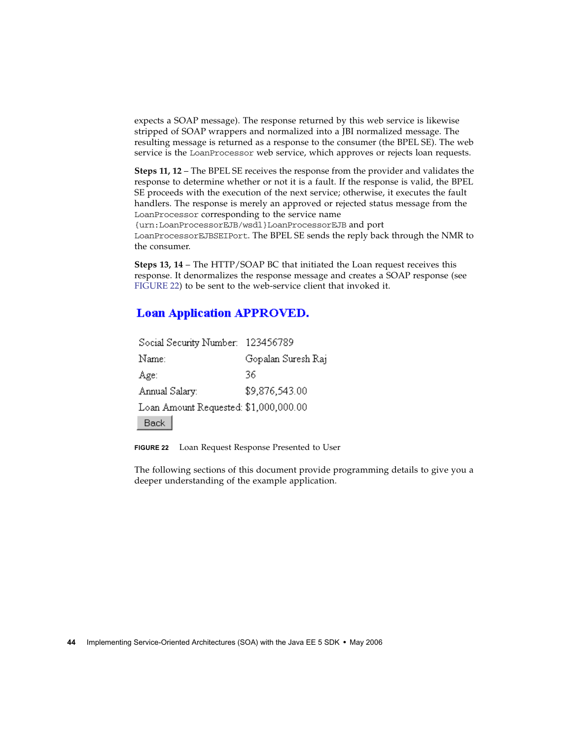expects a SOAP message). The response returned by this web service is likewise stripped of SOAP wrappers and normalized into a JBI normalized message. The resulting message is returned as a response to the consumer (the BPEL SE). The web service is the LoanProcessor web service, which approves or rejects loan requests.

**Steps 11, 12** – The BPEL SE receives the response from the provider and validates the response to determine whether or not it is a fault. If the response is valid, the BPEL SE proceeds with the execution of the next service; otherwise, it executes the fault handlers. The response is merely an approved or rejected status message from the LoanProcessor corresponding to the service name {urn:LoanProcessorEJB/wsdl}LoanProcessorEJB and port LoanProcessorEJBSEIPort. The BPEL SE sends the reply back through the NMR to the consumer.

**Steps 13, 14** – The HTTP/SOAP BC that initiated the Loan request receives this response. It denormalizes the response message and creates a SOAP response (see [FIGURE 22\)](#page-43-0) to be sent to the web-service client that invoked it.

#### **Loan Application APPROVED.**

| Social Security Number: 123456789     |                    |
|---------------------------------------|--------------------|
| Name:                                 | Gopalan Suresh Raj |
| Age:                                  | 36                 |
| Annual Salary:                        | \$9,876,543.00     |
| Loan Amount Requested: \$1,000,000.00 |                    |
| Back                                  |                    |

<span id="page-43-0"></span>**FIGURE 22** Loan Request Response Presented to User

The following sections of this document provide programming details to give you a deeper understanding of the example application.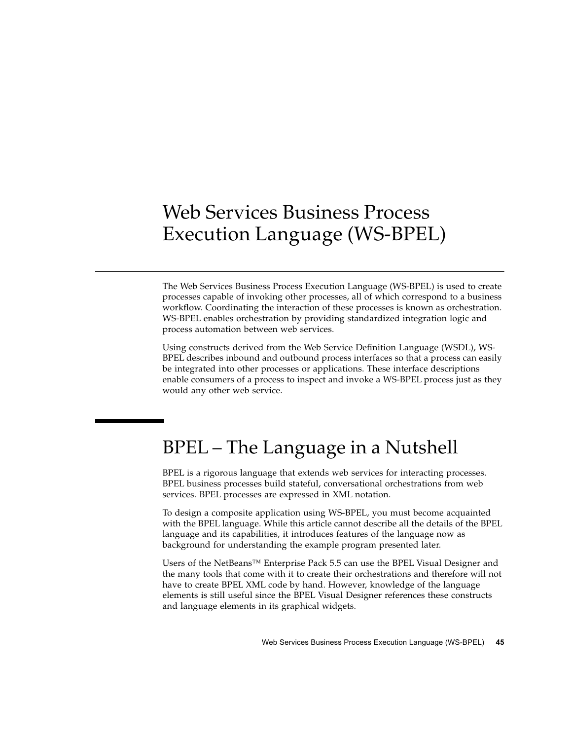# <span id="page-44-0"></span>Web Services Business Process Execution Language (WS-BPEL)

<span id="page-44-2"></span>The Web Services Business Process Execution Language (WS-BPEL) is used to create processes capable of invoking other processes, all of which correspond to a business workflow. Coordinating the interaction of these processes is known as orchestration. WS-BPEL enables orchestration by providing standardized integration logic and process automation between web services.

Using constructs derived from the Web Service Definition Language (WSDL), WS-BPEL describes inbound and outbound process interfaces so that a process can easily be integrated into other processes or applications. These interface descriptions enable consumers of a process to inspect and invoke a WS-BPEL process just as they would any other web service.

# <span id="page-44-3"></span><span id="page-44-1"></span>BPEL – The Language in a Nutshell

BPEL is a rigorous language that extends web services for interacting processes. BPEL business processes build stateful, conversational orchestrations from web services. BPEL processes are expressed in XML notation.

To design a composite application using WS-BPEL, you must become acquainted with the BPEL language. While this article cannot describe all the details of the BPEL language and its capabilities, it introduces features of the language now as background for understanding the example program presented later.

Users of the NetBeans™ Enterprise Pack 5.5 can use the BPEL Visual Designer and the many tools that come with it to create their orchestrations and therefore will not have to create BPEL XML code by hand. However, knowledge of the language elements is still useful since the BPEL Visual Designer references these constructs and language elements in its graphical widgets.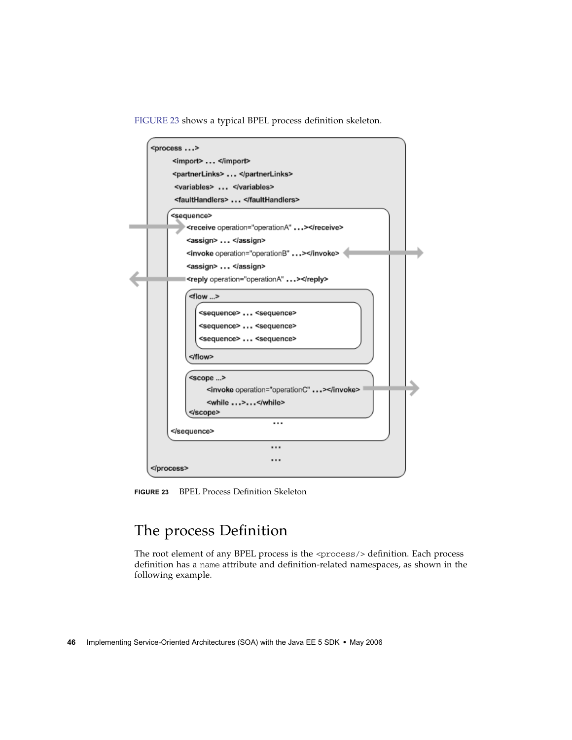<span id="page-45-3"></span>[FIGURE 23](#page-45-1) shows a typical BPEL process definition skeleton.



<span id="page-45-1"></span>**FIGURE 23** BPEL Process Definition Skeleton

### <span id="page-45-0"></span>The process Definition

<span id="page-45-2"></span>The root element of any BPEL process is the <process/> definition. Each process definition has a name attribute and definition-related namespaces, as shown in the following example.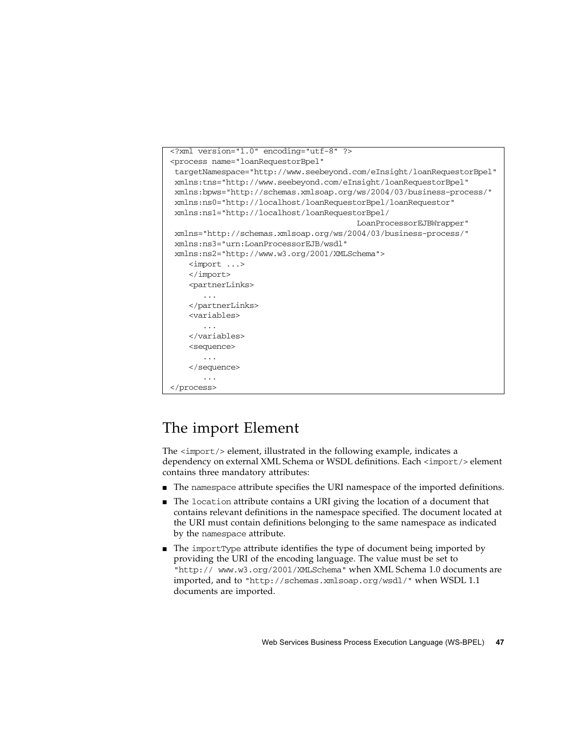```
<?xml version="1.0" encoding="utf-8" ?>
<process name="loanRequestorBpel"
  targetNamespace="http://www.seebeyond.com/eInsight/loanRequestorBpel"
 xmlns:tns="http://www.seebeyond.com/eInsight/loanRequestorBpel"
 xmlns:bpws="http://schemas.xmlsoap.org/ws/2004/03/business-process/"
 xmlns:ns0="http://localhost/loanRequestorBpel/loanRequestor"
 xmlns:ns1="http://localhost/loanRequestorBpel/ 
                                           LoanProcessorEJBWrapper"
 xmlns="http://schemas.xmlsoap.org/ws/2004/03/business-process/"
 xmlns:ns3="urn:LoanProcessorEJB/wsdl"
 xmlns:ns2="http://www.w3.org/2001/XMLSchema">
     <import ...>
    </import>
     <partnerLinks>
        ...
     </partnerLinks>
     <variables>
        ...
     </variables>
     <sequence>
        ...
     </sequence>
        ...
</process>
```
## <span id="page-46-1"></span><span id="page-46-0"></span>The import Element

The <import/> element, illustrated in the following example, indicates a dependency on external XML Schema or WSDL definitions. Each <import/>
element contains three mandatory attributes:

- The namespace attribute specifies the URI namespace of the imported definitions.
- The location attribute contains a URI giving the location of a document that contains relevant definitions in the namespace specified. The document located at the URI must contain definitions belonging to the same namespace as indicated by the namespace attribute.
- The importType attribute identifies the type of document being imported by providing the URI of the encoding language. The value must be set to "http:// www.w3.org/2001/XMLSchema" when XML Schema 1.0 documents are imported, and to "http://schemas.xmlsoap.org/wsdl/" when WSDL 1.1 documents are imported.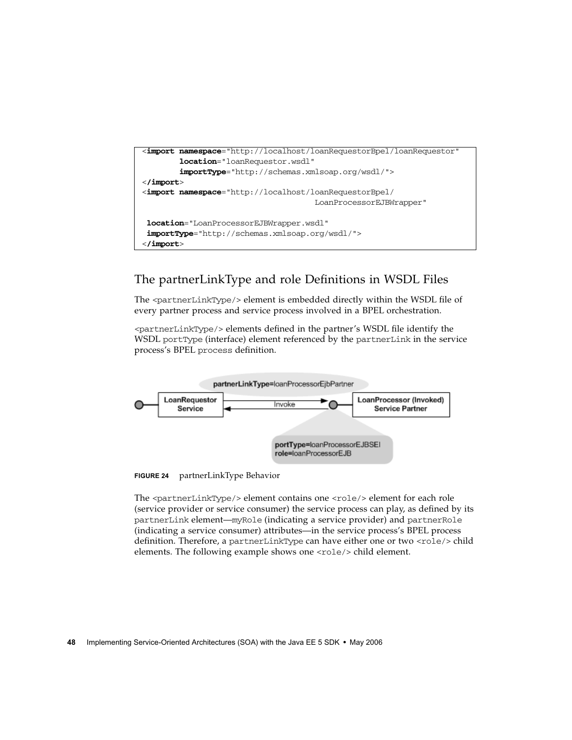```
<import namespace="http://localhost/loanRequestorBpel/loanRequestor"
         location="loanRequestor.wsdl"
         importType="http://schemas.xmlsoap.org/wsdl/">
</import>
<import namespace="http://localhost/loanRequestorBpel/
                                      LoanProcessorEJBWrapper"
location="LoanProcessorEJBWrapper.wsdl"
importType="http://schemas.xmlsoap.org/wsdl/">
</import>
```
### <span id="page-47-0"></span>The partnerLinkType and role Definitions in WSDL Files

<span id="page-47-1"></span>The <partnerLinkType/> element is embedded directly within the WSDL file of every partner process and service process involved in a BPEL orchestration.

<partnerLinkType/> elements defined in the partner's WSDL file identify the WSDL portType (interface) element referenced by the partnerLink in the service process's BPEL process definition.



**FIGURE 24** partnerLinkType Behavior

The <partnerLinkType/> element contains one <role/> element for each role (service provider or service consumer) the service process can play, as defined by its partnerLink element—myRole (indicating a service provider) and partnerRole (indicating a service consumer) attributes—in the service process's BPEL process definition. Therefore, a partnerLinkType can have either one or two <role/> child elements. The following example shows one <role/> child element.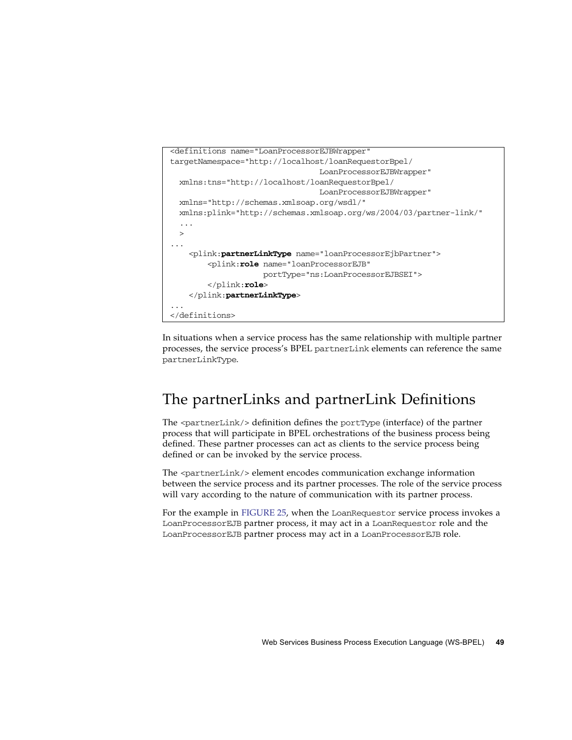```
<definitions name="LoanProcessorEJBWrapper"
targetNamespace="http://localhost/loanRequestorBpel/
                                  LoanProcessorEJBWrapper"
   xmlns:tns="http://localhost/loanRequestorBpel/
                                  LoanProcessorEJBWrapper"
  xmlns="http://schemas.xmlsoap.org/wsdl/"
   xmlns:plink="http://schemas.xmlsoap.org/ws/2004/03/partner-link/"
   ...
   >
...
     <plink:partnerLinkType name="loanProcessorEjbPartner">
         <plink:role name="loanProcessorEJB"
                     portType="ns:LoanProcessorEJBSEI">
         </plink:role>
     </plink:partnerLinkType>
...
</definitions>
```
In situations when a service process has the same relationship with multiple partner processes, the service process's BPEL partnerLink elements can reference the same partnerLinkType.

## <span id="page-48-1"></span><span id="page-48-0"></span>The partnerLinks and partnerLink Definitions

The <partnerLink/> definition defines the portType (interface) of the partner process that will participate in BPEL orchestrations of the business process being defined. These partner processes can act as clients to the service process being defined or can be invoked by the service process.

The <partnerLink/> element encodes communication exchange information between the service process and its partner processes. The role of the service process will vary according to the nature of communication with its partner process.

For the example in [FIGURE 25](#page-49-1), when the LoanRequestor service process invokes a LoanProcessorEJB partner process, it may act in a LoanRequestor role and the LoanProcessorEJB partner process may act in a LoanProcessorEJB role.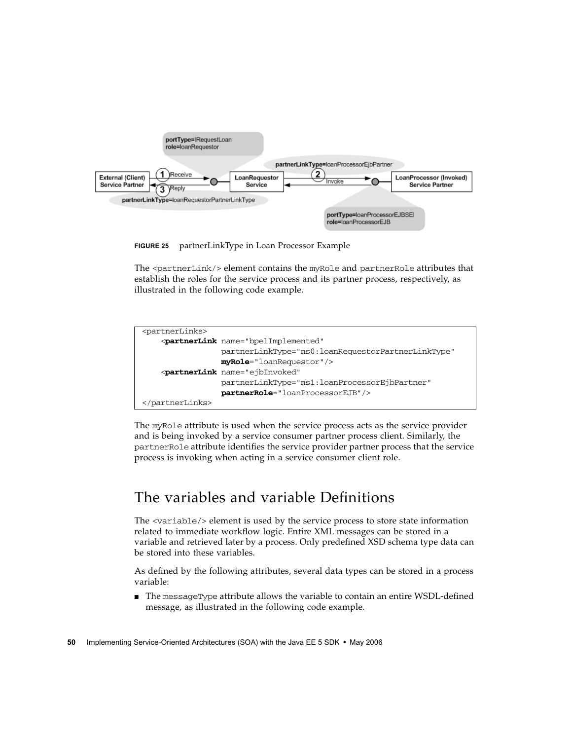

<span id="page-49-1"></span>**FIGURE 25** partnerLinkType in Loan Processor Example

The <partnerLink/> element contains the myRole and partnerRole attributes that establish the roles for the service process and its partner process, respectively, as illustrated in the following code example.

| <partnerlinks></partnerlinks> |                                                               |
|-------------------------------|---------------------------------------------------------------|
|                               | <partnerlink <="" name="bpelImplemented" th=""></partnerlink> |
|                               | partnerLinkType="ns0:loanRequestorPartnerLinkType"            |
|                               | myRole="loanRequestor"/>                                      |
|                               | <partnerlink <="" name="ejbInvoked" th=""></partnerlink>      |
|                               | partnerLinkType="ns1:loanProcessorEjbPartner"                 |
|                               | partnerRole="loanProcessorEJB"/>                              |
|                               |                                                               |

The myRole attribute is used when the service process acts as the service provider and is being invoked by a service consumer partner process client. Similarly, the partnerRole attribute identifies the service provider partner process that the service process is invoking when acting in a service consumer client role.

### <span id="page-49-2"></span><span id="page-49-0"></span>The variables and variable Definitions

The <variable/> element is used by the service process to store state information related to immediate workflow logic. Entire XML messages can be stored in a variable and retrieved later by a process. Only predefined XSD schema type data can be stored into these variables.

As defined by the following attributes, several data types can be stored in a process variable:

■ The messageType attribute allows the variable to contain an entire WSDL-defined message, as illustrated in the following code example.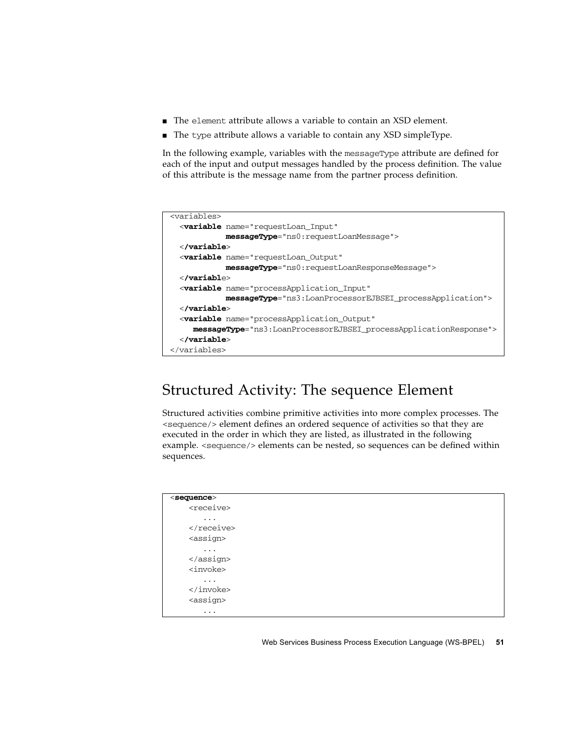- The element attribute allows a variable to contain an XSD element.
- The type attribute allows a variable to contain any XSD simpleType.

In the following example, variables with the messageType attribute are defined for each of the input and output messages handled by the process definition. The value of this attribute is the message name from the partner process definition.

```
<variables>
   <variable name="requestLoan_Input"
             messageType="ns0:requestLoanMessage">
   </variable>
   <variable name="requestLoan_Output"
             messageType="ns0:requestLoanResponseMessage">
   </variable>
   <variable name="processApplication_Input"
             messageType="ns3:LoanProcessorEJBSEI_processApplication">
   </variable>
   <variable name="processApplication_Output"
      messageType="ns3:LoanProcessorEJBSEI_processApplicationResponse">
   </variable>
</variables>
```
### <span id="page-50-2"></span><span id="page-50-1"></span><span id="page-50-0"></span>Structured Activity: The sequence Element

Structured activities combine primitive activities into more complex processes. The <sequence/> element defines an ordered sequence of activities so that they are executed in the order in which they are listed, as illustrated in the following example. <sequence/> elements can be nested, so sequences can be defined within sequences.

```
<sequence>
     <receive>
     </receive>
     <assign>
         ...
     </assign>
     <invoke>
     </invoke>
     <assign>
         ...
```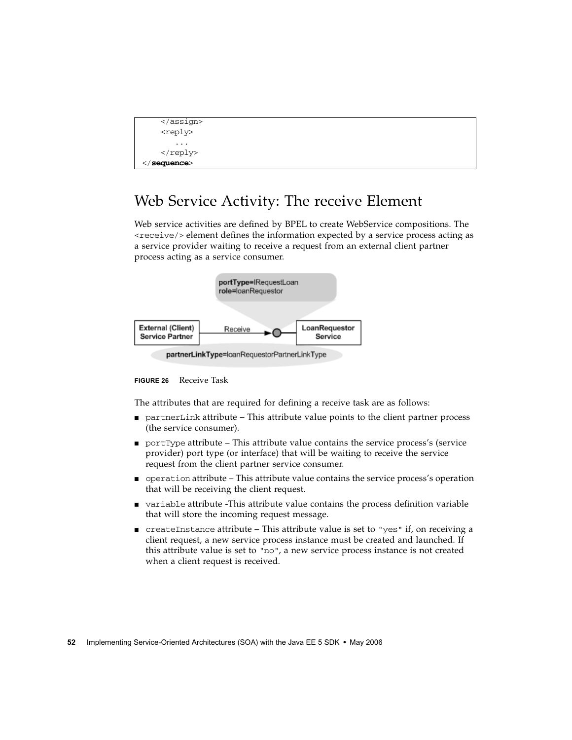```
 </assign>
     <reply>
         ...
     </reply>
</sequence>
```
### <span id="page-51-2"></span><span id="page-51-1"></span><span id="page-51-0"></span>Web Service Activity: The receive Element

Web service activities are defined by BPEL to create WebService compositions. The <receive/> element defines the information expected by a service process acting as a service provider waiting to receive a request from an external client partner process acting as a service consumer.





The attributes that are required for defining a receive task are as follows:

- partnerLink attribute This attribute value points to the client partner process (the service consumer).
- portType attribute This attribute value contains the service process's (service provider) port type (or interface) that will be waiting to receive the service request from the client partner service consumer.
- operation attribute This attribute value contains the service process's operation that will be receiving the client request.
- variable attribute -This attribute value contains the process definition variable that will store the incoming request message.
- $\blacksquare$  createInstance attribute This attribute value is set to "yes" if, on receiving a client request, a new service process instance must be created and launched. If this attribute value is set to "no", a new service process instance is not created when a client request is received.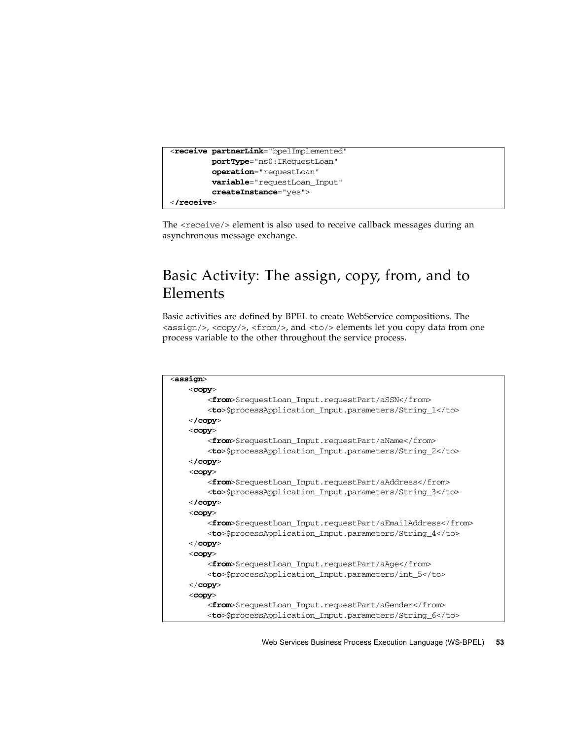```
<receive partnerLink="bpelImplemented"
          portType="ns0:IRequestLoan"
          operation="requestLoan"
          variable="requestLoan_Input"
          createInstance="yes">
</receive>
```
The <receive/> element is also used to receive callback messages during an asynchronous message exchange.

## <span id="page-52-2"></span><span id="page-52-1"></span><span id="page-52-0"></span>Basic Activity: The assign, copy, from, and to Elements

Basic activities are defined by BPEL to create WebService compositions. The <assign/>, <copy/>, <from/>, and <to/> elements let you copy data from one process variable to the other throughout the service process.

| $<$ assign $>$                                               |
|--------------------------------------------------------------|
| $<$ copy $>$                                                 |
| <from>\$requestLoan_Input.requestPart/aSSN</from>            |
| <to>\$processApplication_Input.parameters/String_1</to>      |
| $\langle$ /copy $\rangle$                                    |
| $<$ copy $>$                                                 |
| <from>\$requestLoan_Input.requestPart/aName</from>           |
| <to>\$processApplication_Input.parameters/String_2</to>      |
| $\langle / \text{copy} \rangle$                              |
| $<$ copy $>$                                                 |
| < <b>from</b> >\$requestLoan_Input.requestPart/aAddress      |
| <to>\$processApplication_Input.parameters/String_3</to>      |
| $\langle$ /copy $\rangle$                                    |
| $<$ copy $>$                                                 |
| < <b>from</b> >\$requestLoan_Input.requestPart/aEmailAddress |
| <to>\$processApplication_Input.parameters/String_4</to>      |
| $\langle$ copy>                                              |
| $<$ copy $>$                                                 |
| < <b>from</b> >\$requestLoan_Input.requestPart/aAge          |
| <to>\$processApplication Input.parameters/int_5</to>         |
| $\langle$ copy>                                              |
| <copy></copy>                                                |
| < <b>from</b> >\$requestLoan_Input.requestPart/aGender       |
| <to>\$processApplication_Input.parameters/String_6</to>      |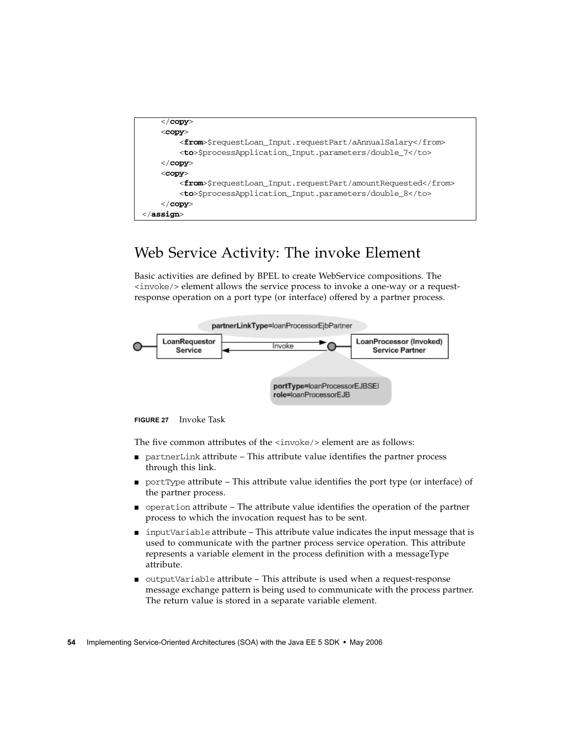

### <span id="page-53-7"></span><span id="page-53-1"></span><span id="page-53-0"></span>Web Service Activity: The invoke Element

Basic activities are defined by BPEL to create WebService compositions. The <invoke/> element allows the service process to invoke a one-way or a requestresponse operation on a port type (or interface) offered by a partner process.





<span id="page-53-5"></span>The five common attributes of the <invoke/> element are as follows:

- $\blacksquare$  partnerLink attribute This attribute value identifies the partner process through this link.
- <span id="page-53-6"></span>■ portType attribute – This attribute value identifies the port type (or interface) of the partner process.
- <span id="page-53-3"></span> $\blacksquare$  operation attribute – The attribute value identifies the operation of the partner process to which the invocation request has to be sent.
- <span id="page-53-2"></span> $\blacksquare$  inputVariable attribute – This attribute value indicates the input message that is used to communicate with the partner process service operation. This attribute represents a variable element in the process definition with a messageType attribute.
- <span id="page-53-4"></span>■ outputVariable attribute – This attribute is used when a request-response message exchange pattern is being used to communicate with the process partner. The return value is stored in a separate variable element.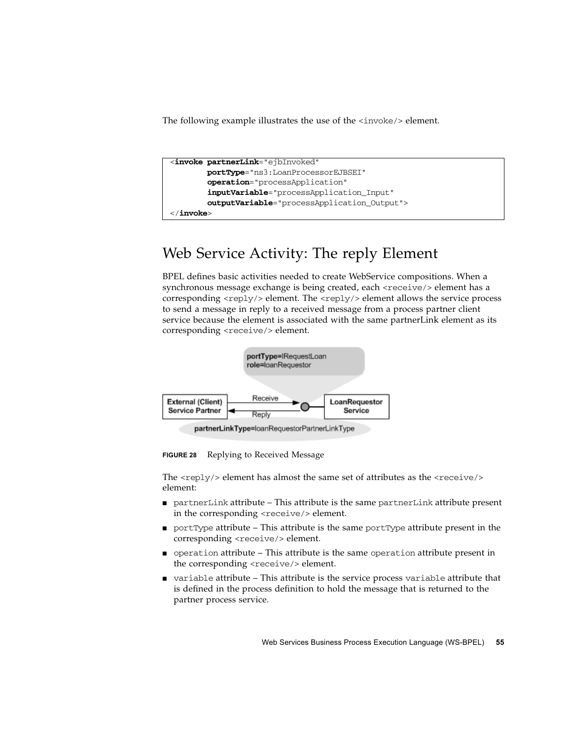The following example illustrates the use of the <invoke/> element.

```
<invoke partnerLink="ejbInvoked"
         portType="ns3:LoanProcessorEJBSEI"
         operation="processApplication"
         inputVariable="processApplication_Input"
         outputVariable="processApplication_Output">
</invoke>
```
## <span id="page-54-1"></span><span id="page-54-0"></span>Web Service Activity: The reply Element

BPEL defines basic activities needed to create WebService compositions. When a synchronous message exchange is being created, each <receive/> element has a corresponding <reply/> element. The <reply/> element allows the service process to send a message in reply to a received message from a process partner client service because the element is associated with the same partnerLink element as its corresponding <receive/> element.



**FIGURE 28** Replying to Received Message

The  $\langle \text{reply/} \rangle$  element has almost the same set of attributes as the  $\langle \text{receive/} \rangle$ element:

- partnerLink attribute This attribute is the same partnerLink attribute present in the corresponding <receive/> element.
- <span id="page-54-3"></span> $\blacksquare$  portType attribute – This attribute is the same portType attribute present in the corresponding <receive/> element.
- <span id="page-54-2"></span>■ operation attribute – This attribute is the same operation attribute present in the corresponding <receive/> element.
- <span id="page-54-4"></span>■ variable attribute – This attribute is the service process variable attribute that is defined in the process definition to hold the message that is returned to the partner process service.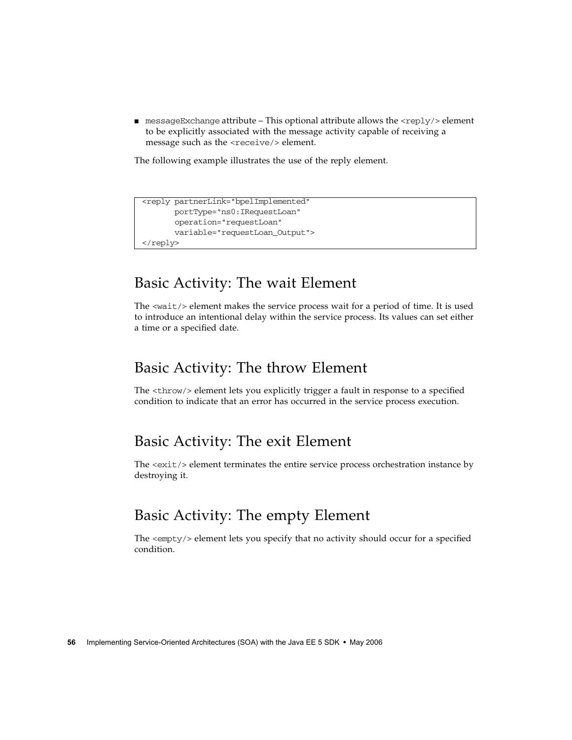<span id="page-55-7"></span>**■** messageExchange attribute – This optional attribute allows the  $\langle$ reply/ $\rangle$  element to be explicitly associated with the message activity capable of receiving a message such as the <receive/> element.

The following example illustrates the use of the reply element.

```
<reply partnerLink="bpelImplemented"
        portType="ns0:IRequestLoan"
        operation="requestLoan"
        variable="requestLoan_Output">
</reply>
```
## <span id="page-55-9"></span><span id="page-55-4"></span><span id="page-55-0"></span>Basic Activity: The wait Element

The <wait/> element makes the service process wait for a period of time. It is used to introduce an intentional delay within the service process. Its values can set either a time or a specified date.

### <span id="page-55-8"></span><span id="page-55-1"></span>Basic Activity: The throw Element

The <throw/> element lets you explicitly trigger a fault in response to a specified condition to indicate that an error has occurred in the service process execution.

### <span id="page-55-6"></span><span id="page-55-2"></span>Basic Activity: The exit Element

The <exit/> element terminates the entire service process orchestration instance by destroying it.

### <span id="page-55-5"></span><span id="page-55-3"></span>Basic Activity: The empty Element

The <empty/> element lets you specify that no activity should occur for a specified condition.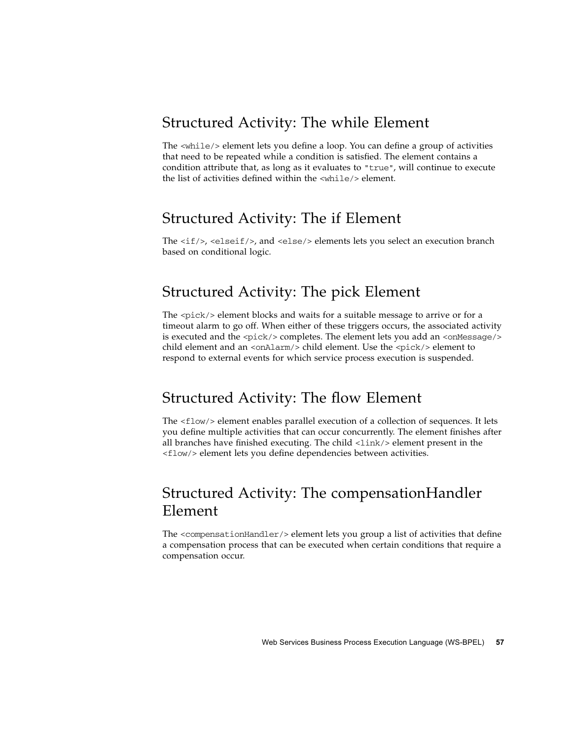### <span id="page-56-10"></span><span id="page-56-9"></span><span id="page-56-0"></span>Structured Activity: The while Element

The <while/> element lets you define a loop. You can define a group of activities that need to be repeated while a condition is satisfied. The element contains a condition attribute that, as long as it evaluates to "true", will continue to execute the list of activities defined within the <while/> element.

### <span id="page-56-7"></span><span id="page-56-1"></span>Structured Activity: The if Element

The  $\langle i\,f/\rangle$ ,  $\langle$ elseif/ $\rangle$ , and  $\langle$ else/ $\rangle$  elements lets you select an execution branch based on conditional logic.

### <span id="page-56-8"></span><span id="page-56-2"></span>Structured Activity: The pick Element

The  $\langle$ pick/ $>$  element blocks and waits for a suitable message to arrive or for a timeout alarm to go off. When either of these triggers occurs, the associated activity is executed and the  $\langle \text{pick} \rangle$  completes. The element lets you add an  $\langle \text{onMessage} \rangle$ child element and an  $\langle \text{on}$ Alarm/ $\rangle$  child element. Use the  $\langle \text{pick} \rangle$  element to respond to external events for which service process execution is suspended.

### <span id="page-56-6"></span><span id="page-56-3"></span>Structured Activity: The flow Element

The <flow/> element enables parallel execution of a collection of sequences. It lets you define multiple activities that can occur concurrently. The element finishes after all branches have finished executing. The child <link/> element present in the <flow/> element lets you define dependencies between activities.

### <span id="page-56-5"></span><span id="page-56-4"></span>Structured Activity: The compensationHandler Element

The <compensationHandler/> element lets you group a list of activities that define a compensation process that can be executed when certain conditions that require a compensation occur.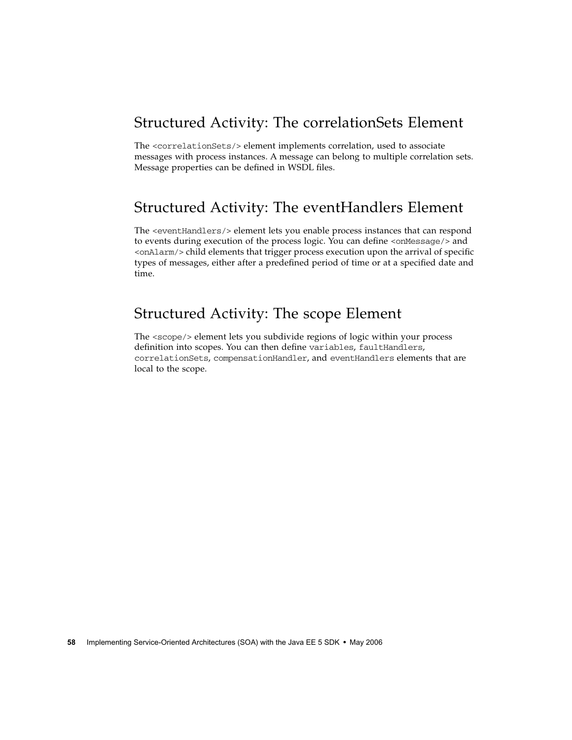## <span id="page-57-3"></span><span id="page-57-0"></span>Structured Activity: The correlationSets Element

The <correlationSets/> element implements correlation, used to associate messages with process instances. A message can belong to multiple correlation sets. Message properties can be defined in WSDL files.

### <span id="page-57-4"></span><span id="page-57-1"></span>Structured Activity: The eventHandlers Element

The <eventHandlers/> element lets you enable process instances that can respond to events during execution of the process logic. You can define <onMessage/> and <onAlarm/> child elements that trigger process execution upon the arrival of specific types of messages, either after a predefined period of time or at a specified date and time.

### <span id="page-57-5"></span><span id="page-57-2"></span>Structured Activity: The scope Element

The <scope/> element lets you subdivide regions of logic within your process definition into scopes. You can then define variables, faultHandlers, correlationSets, compensationHandler, and eventHandlers elements that are local to the scope.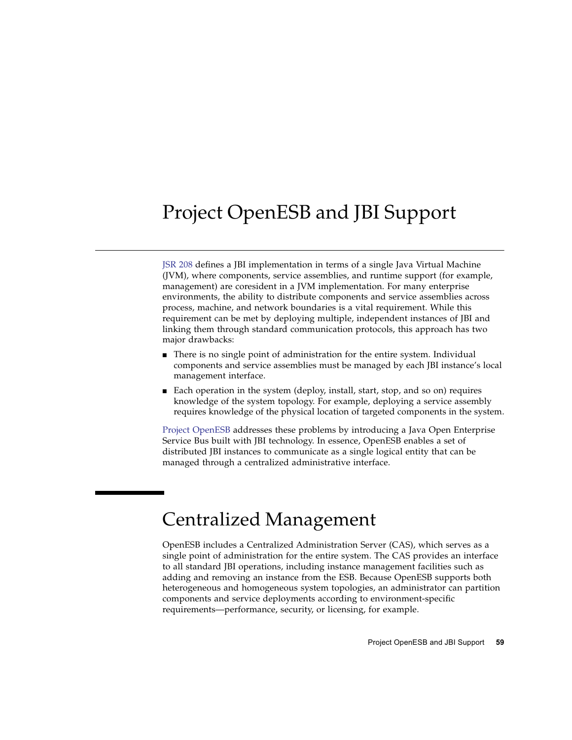# <span id="page-58-2"></span><span id="page-58-0"></span>Project OpenESB and JBI Support

[JSR 208](http://www.jcp.org/en/jsr/detail?id=208) defines a JBI implementation in terms of a single Java Virtual Machine (JVM), where components, service assemblies, and runtime support (for example, management) are coresident in a JVM implementation. For many enterprise environments, the ability to distribute components and service assemblies across process, machine, and network boundaries is a vital requirement. While this requirement can be met by deploying multiple, independent instances of JBI and linking them through standard communication protocols, this approach has two major drawbacks:

- There is no single point of administration for the entire system. Individual components and service assemblies must be managed by each JBI instance's local management interface.
- Each operation in the system (deploy, install, start, stop, and so on) requires knowledge of the system topology. For example, deploying a service assembly requires knowledge of the physical location of targeted components in the system.

[Project OpenESB](https://open-esb.dev.java.net/) addresses these problems by introducing a Java Open Enterprise Service Bus built with JBI technology. In essence, OpenESB enables a set of distributed JBI instances to communicate as a single logical entity that can be managed through a centralized administrative interface.

# <span id="page-58-1"></span>Centralized Management

<span id="page-58-3"></span>OpenESB includes a Centralized Administration Server (CAS), which serves as a single point of administration for the entire system. The CAS provides an interface to all standard JBI operations, including instance management facilities such as adding and removing an instance from the ESB. Because OpenESB supports both heterogeneous and homogeneous system topologies, an administrator can partition components and service deployments according to environment-specific requirements—performance, security, or licensing, for example.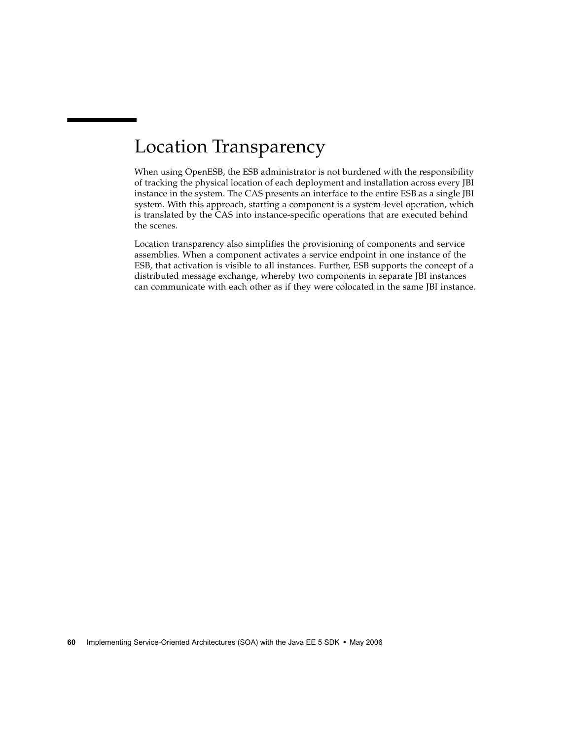# <span id="page-59-0"></span>Location Transparency

<span id="page-59-1"></span>When using OpenESB, the ESB administrator is not burdened with the responsibility of tracking the physical location of each deployment and installation across every JBI instance in the system. The CAS presents an interface to the entire ESB as a single JBI system. With this approach, starting a component is a system-level operation, which is translated by the CAS into instance-specific operations that are executed behind the scenes.

Location transparency also simplifies the provisioning of components and service assemblies. When a component activates a service endpoint in one instance of the ESB, that activation is visible to all instances. Further, ESB supports the concept of a distributed message exchange, whereby two components in separate JBI instances can communicate with each other as if they were colocated in the same JBI instance.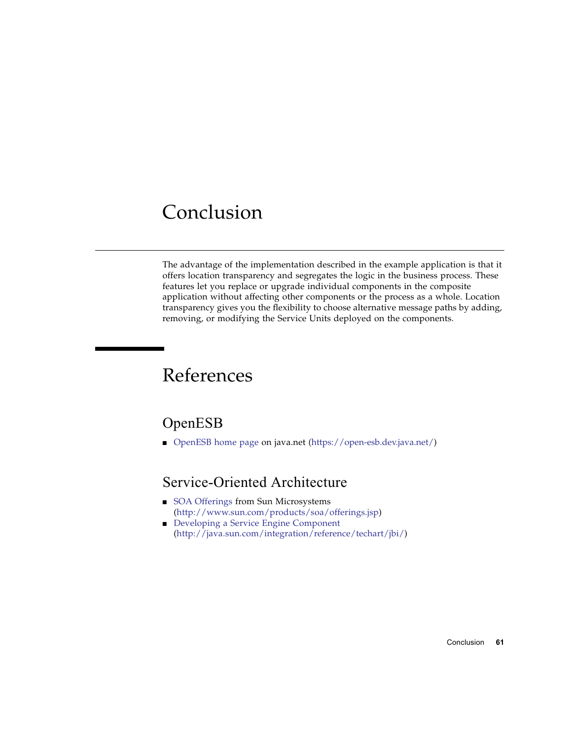## <span id="page-60-0"></span>Conclusion

The advantage of the implementation described in the example application is that it offers location transparency and segregates the logic in the business process. These features let you replace or upgrade individual components in the composite application without affecting other components or the process as a whole. Location transparency gives you the flexibility to choose alternative message paths by adding, removing, or modifying the Service Units deployed on the components.

# <span id="page-60-4"></span><span id="page-60-1"></span>References

### <span id="page-60-2"></span>OpenESB

■ [OpenESB home page](https://open-esb.dev.java.net/) on java.net [\(https://open-esb.dev.java.net/\)](https://open-esb.dev.java.net/)

### <span id="page-60-3"></span>Service-Oriented Architecture

- [SOA Offerings](http://www.sun.com/products/soa/offerings.jsp) from Sun Microsystems [\(http://www.sun.com/products/soa/offerings.jsp\)](http://www.sun.com/products/soa/offerings.jsp)
- Developing a Service Engine Component [\(http://java.sun.com/integration/reference/techart/jbi/](http://java.sun.com/integration/reference/techart/jbi/))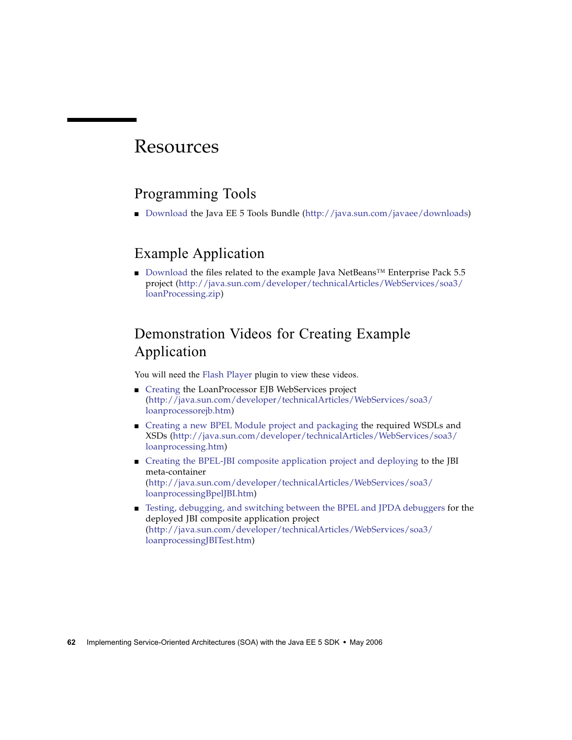## <span id="page-61-5"></span><span id="page-61-4"></span><span id="page-61-0"></span>Resources

### <span id="page-61-1"></span>Programming Tools

■ [Download](http://java.sun.com/javaee/downloads) the Java EE 5 Tools Bundle (<http://java.sun.com/javaee/downloads>)

### <span id="page-61-2"></span>Example Application

■ [Download](http://java.sun.com/developer/technicalArticles/WebServices/soa3/loanProcessing.zip) the files related to the example Java NetBeans<sup>™</sup> Enterprise Pack 5.5 project [\(http://java.sun.com/developer/technicalArticles/WebServices/soa3/](http://java.sun.com/developer/technicalArticles/WebServices/soa3/loanProcessing.zip) [loanProcessing.zip](http://java.sun.com/developer/technicalArticles/WebServices/soa3/loanProcessing.zip))

## <span id="page-61-3"></span>Demonstration Videos for Creating Example Application

You will need the [Flash Player](http://www.adobe.com/go/getflashplayer) plugin to view these videos.

- [Creating](http://java.sun.com/developer/technicalArticles/WebServices/soa3/loanprocessorejb.htm) the LoanProcessor EJB WebServices project [\(http://java.sun.com/developer/technicalArticles/WebServices/soa3/](http://java.sun.com/developer/technicalArticles/WebServices/soa3/loanprocessorejb.htm) [loanprocessorejb.htm\)](http://java.sun.com/developer/technicalArticles/WebServices/soa3/loanprocessorejb.htm)
- [Creating a new BPEL Module project and packaging](http://java.sun.com/developer/technicalArticles/WebServices/soa3/loanprocessing.htm) the required WSDLs and XSDs [\(http://java.sun.com/developer/technicalArticles/WebServices/soa3/](http://java.sun.com/developer/technicalArticles/WebServices/soa3/loanprocessing.htm) [loanprocessing.htm](http://java.sun.com/developer/technicalArticles/WebServices/soa3/loanprocessing.htm))
- [Creating the BPEL-JBI composite application project and deploying](http://java.sun.com/developer/technicalArticles/WebServices/soa3/loanprocessingBpelJBI.htm) to the JBI meta-container [\(http://java.sun.com/developer/technicalArticles/WebServices/soa3/](http://java.sun.com/developer/technicalArticles/WebServices/soa3/loanprocessingBpelJBI.htm) [loanprocessingBpelJBI.htm\)](http://java.sun.com/developer/technicalArticles/WebServices/soa3/loanprocessingBpelJBI.htm)
- [Testing, debugging, and switching between the BPEL and JPDA debuggers](http://java.sun.com/developer/technicalArticles/WebServices/soa3/loanprocessingJBITest.htm) for the deployed JBI composite application project [\(http://java.sun.com/developer/technicalArticles/WebServices/soa3/](http://java.sun.com/developer/technicalArticles/WebServices/soa3/loanprocessingJBITest.htm) [loanprocessingJBITest.htm\)](http://java.sun.com/developer/technicalArticles/WebServices/soa3/loanprocessingJBITest.htm)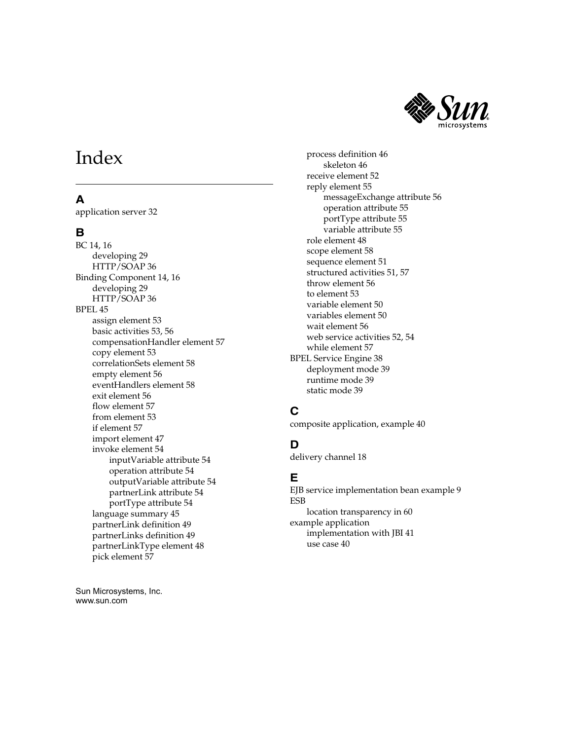

# <span id="page-62-0"></span>Index

#### **A**

[application server 32](#page-31-2)

#### **B**

[BC 14,](#page-13-1) [16](#page-15-2) [developing 29](#page-28-2) [HTTP/SOAP 36](#page-35-1) [Binding Component 14,](#page-13-1) [16](#page-15-2) [developing 29](#page-28-2) [HTTP/SOAP 36](#page-35-1) [BPEL 45](#page-44-2) [assign element 53](#page-52-1) [basic activities 53,](#page-52-2) [56](#page-55-4) [compensationHandler element 57](#page-56-5) [copy element 53](#page-52-1) [correlationSets element 58](#page-57-3) [empty element 56](#page-55-5) [eventHandlers element 58](#page-57-4) [exit element 56](#page-55-6) [flow element 57](#page-56-6) [from element 53](#page-52-1) [if element 57](#page-56-7) [import element 47](#page-46-1) [invoke element 54](#page-53-1) [inputVariable attribute 54](#page-53-2) [operation attribute 54](#page-53-3) [outputVariable attribute 54](#page-53-4) [partnerLink attribute 54](#page-53-5) [portType attribute 54](#page-53-6) [language summary 45](#page-44-3) [partnerLink definition 49](#page-48-1) [partnerLinks definition 49](#page-48-1) [partnerLinkType element 48](#page-47-1) [pick element 57](#page-56-8)

Sun Microsystems, Inc. www.sun.com

[process definition 46](#page-45-2) [skeleton 46](#page-45-3) [receive element 52](#page-51-1) [reply element 55](#page-54-1) [messageExchange attribute 56](#page-55-7) [operation attribute 55](#page-54-2) [portType attribute 55](#page-54-3) [variable attribute 55](#page-54-4) [role element 48](#page-47-1) [scope element 58](#page-57-5) [sequence element 51](#page-50-1) [structured activities 51,](#page-50-2) [57](#page-56-9) [throw element 56](#page-55-8) [to element 53](#page-52-1) [variable element 50](#page-49-2) [variables element 50](#page-49-2) [wait element 56](#page-55-9) [web service activities 52,](#page-51-2) [54](#page-53-7) [while element 57](#page-56-10) [BPEL Service Engine 38](#page-37-2) [deployment mode 39](#page-38-1) [runtime mode 39](#page-38-1) [static mode 39](#page-38-1)

### **C**

[composite application, example 40](#page-39-2)

### **D**

[delivery channel 18](#page-17-3)

#### **E**

[EJB service implementation bean example 9](#page-8-1) ESB [location transparency in 60](#page-59-1) example application [implementation with JBI 41](#page-40-2) [use case 40](#page-39-3)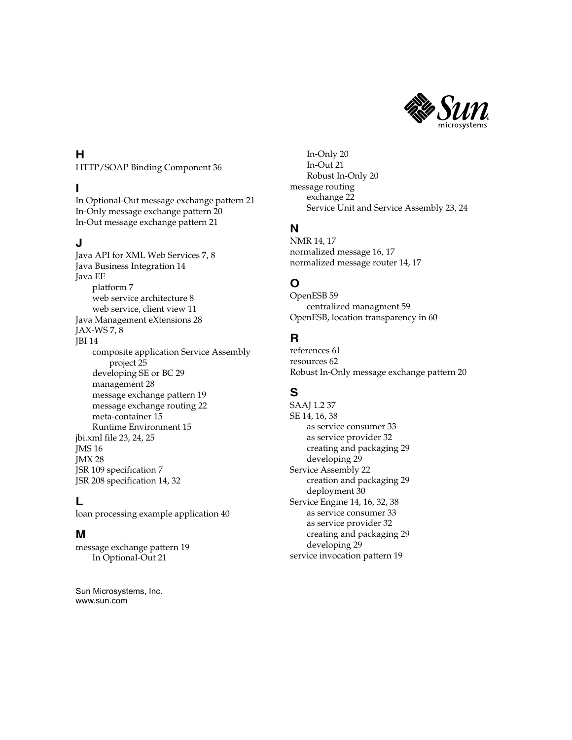

### **H**

[HTTP/SOAP Binding Component 36](#page-35-1)

#### **I**

[In Optional-Out message exchange pattern 21](#page-20-2) [In-Only message exchange pattern 20](#page-19-2) [In-Out message exchange pattern 21](#page-20-3)

#### **J**

[Java API for XML Web Services 7,](#page-6-2) [8](#page-7-2) [Java Business Integration 14](#page-13-2) Java EE [platform 7](#page-6-3) [web service architecture 8](#page-7-3) [web service, client view 11](#page-10-1) [Java Management eXtensions 28](#page-27-1) [JAX-WS 7,](#page-6-2) [8](#page-7-2) [JBI 14](#page-13-2) [composite application Service Assembly](#page-24-1)  project 25 [developing SE or BC 29](#page-28-2) [management 28](#page-27-1) [message exchange pattern 19](#page-18-3) [message exchange routing 22](#page-21-1) [meta-container 15](#page-14-2) [Runtime Environment 15](#page-14-3) [jbi.xml file 23,](#page-22-0) [24,](#page-23-2) [25](#page-24-2) [JMS 16](#page-15-3) [JMX 28](#page-27-1) [JSR 109 specification 7](#page-6-4) [JSR 208 specification 14,](#page-13-2) [32](#page-31-3)

#### **L**

[loan processing example application 40](#page-39-4)

#### **M**

[message exchange pattern 19](#page-18-3) [In Optional-Out 21](#page-20-2)

Sun Microsystems, Inc. www.sun.com

[In-Only 20](#page-19-2) [In-Out 21](#page-20-3) [Robust In-Only 20](#page-19-3) message routing [exchange 22](#page-21-1) [Service Unit and Service Assembly 23,](#page-22-0) [24](#page-23-3)

#### **N**

[NMR 14,](#page-13-3) [17](#page-16-3) [normalized message 16,](#page-15-4) [17](#page-16-4) [normalized message router 14,](#page-13-3) [17](#page-16-3)

### **O**

[OpenESB 59](#page-58-2) [centralized managment 59](#page-58-3) [OpenESB, location transparency in 60](#page-59-1)

### **R**

[references 61](#page-60-4) [resources 62](#page-61-5) [Robust In-Only message exchange pattern 20](#page-19-3)

### **S**

[SAAJ 1.2 37](#page-36-0) [SE 14,](#page-13-4) [16,](#page-15-5) [38](#page-37-2) [as service consumer 33](#page-32-2) [as service provider 32](#page-31-4) [creating and packaging 29](#page-28-3) [developing 29](#page-28-2) [Service Assembly 22](#page-21-2) [creation and packaging 29](#page-28-3) [deployment 30](#page-29-2) [Service Engine 14,](#page-13-4) [16,](#page-15-5) [32,](#page-31-5) [38](#page-37-2) [as service consumer 33](#page-32-2) [as service provider 32](#page-31-4) [creating and packaging 29](#page-28-3) [developing 29](#page-28-2) [service invocation pattern 19](#page-18-4)